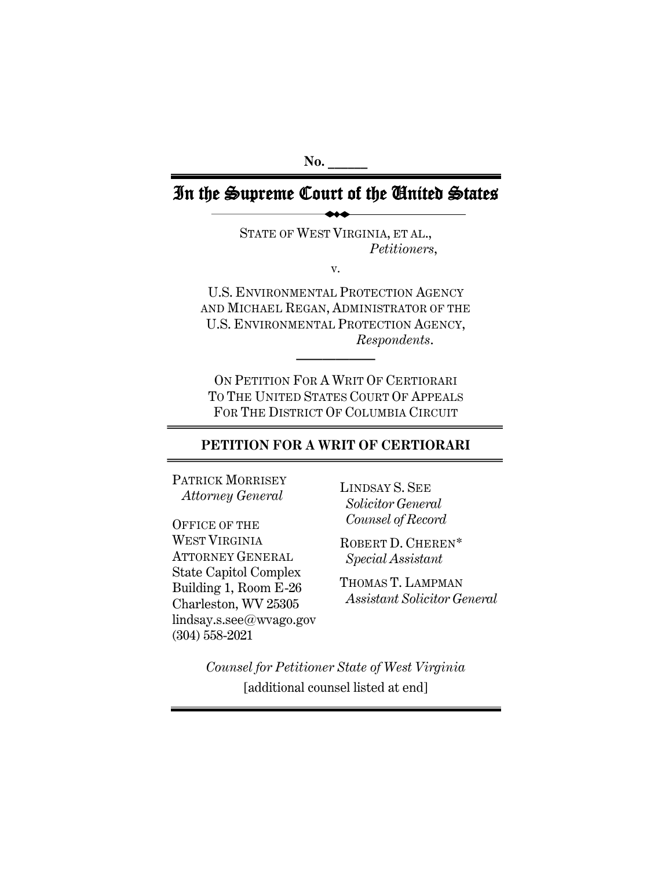**No. \_\_\_\_\_\_**

# In the Supreme Court of the United States

STATE OF WEST VIRGINIA, ET AL., *Petitioners*,

v.

U.S. ENVIRONMENTAL PROTECTION AGENCY AND MICHAEL REGAN, ADMINISTRATOR OF THE U.S. ENVIRONMENTAL PROTECTION AGENCY, *Respondents*.

**——————**

ON PETITION FOR A WRIT OF CERTIORARI TO THE UNITED STATES COURT OF APPEALS FOR THE DISTRICT OF COLUMBIA CIRCUIT

## **PETITION FOR A WRIT OF CERTIORARI**

PATRICK MORRISEY  *Attorney General*

OFFICE OF THE WEST VIRGINIA ATTORNEY GENERAL State Capitol Complex Building 1, Room E-26 Charleston, WV 25305 lindsay.s.see@wvago.gov (304) 558-2021

LINDSAY S. SEE *Solicitor General Counsel of Record*

ROBERT D. CHEREN\* *Special Assistant*

THOMAS T. LAMPMAN *Assistant Solicitor General*

*Counsel for Petitioner State of West Virginia* [additional counsel listed at end]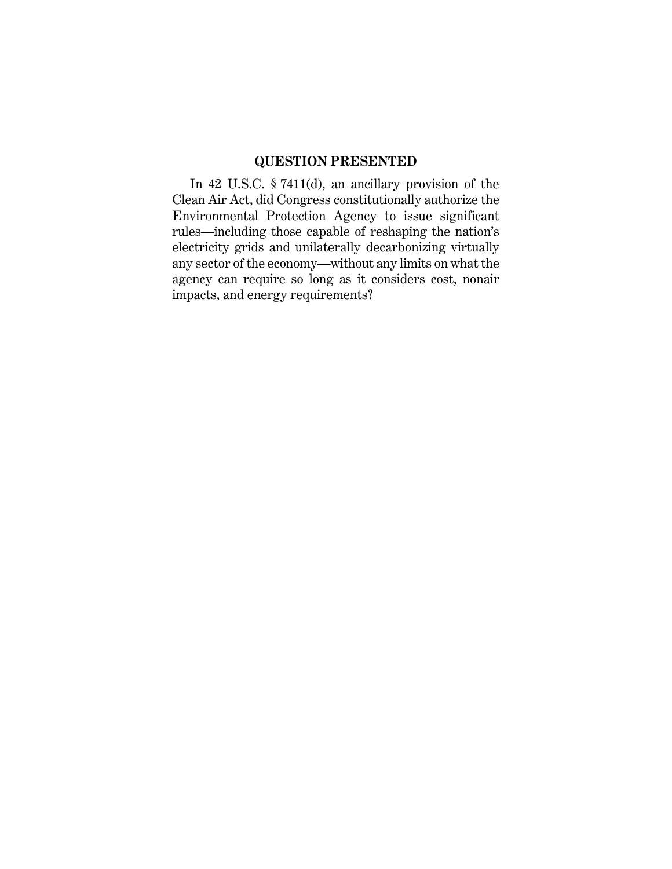## **QUESTION PRESENTED**

In 42 U.S.C. § 7411(d), an ancillary provision of the Clean Air Act, did Congress constitutionally authorize the Environmental Protection Agency to issue significant rules—including those capable of reshaping the nation's electricity grids and unilaterally decarbonizing virtually any sector of the economy—without any limits on what the agency can require so long as it considers cost, nonair impacts, and energy requirements?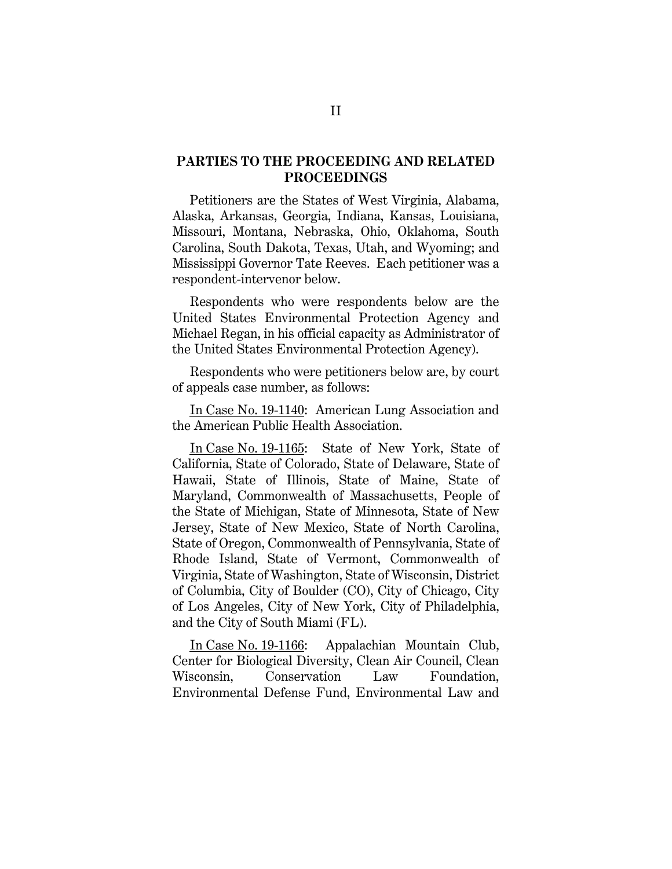### **PARTIES TO THE PROCEEDING AND RELATED PROCEEDINGS**

Petitioners are the States of West Virginia, Alabama, Alaska, Arkansas, Georgia, Indiana, Kansas, Louisiana, Missouri, Montana, Nebraska, Ohio, Oklahoma, South Carolina, South Dakota, Texas, Utah, and Wyoming; and Mississippi Governor Tate Reeves. Each petitioner was a respondent-intervenor below.

Respondents who were respondents below are the United States Environmental Protection Agency and Michael Regan, in his official capacity as Administrator of the United States Environmental Protection Agency).

Respondents who were petitioners below are, by court of appeals case number, as follows:

In Case No. 19-1140: American Lung Association and the American Public Health Association.

In Case No. 19-1165: State of New York, State of California, State of Colorado, State of Delaware, State of Hawaii, State of Illinois, State of Maine, State of Maryland, Commonwealth of Massachusetts, People of the State of Michigan, State of Minnesota, State of New Jersey, State of New Mexico, State of North Carolina, State of Oregon, Commonwealth of Pennsylvania, State of Rhode Island, State of Vermont, Commonwealth of Virginia, State of Washington, State of Wisconsin, District of Columbia, City of Boulder (CO), City of Chicago, City of Los Angeles, City of New York, City of Philadelphia, and the City of South Miami (FL).

In Case No. 19-1166: Appalachian Mountain Club, Center for Biological Diversity, Clean Air Council, Clean Wisconsin, Conservation Law Foundation, Environmental Defense Fund, Environmental Law and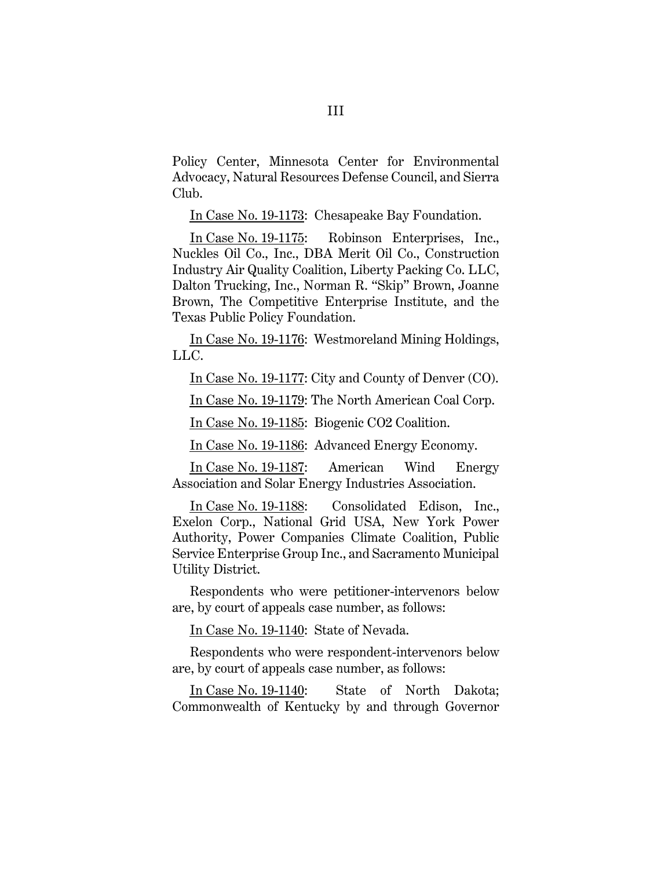Policy Center, Minnesota Center for Environmental Advocacy, Natural Resources Defense Council, and Sierra Club.

In Case No. 19-1173: Chesapeake Bay Foundation.

In Case No. 19-1175: Robinson Enterprises, Inc., Nuckles Oil Co., Inc., DBA Merit Oil Co., Construction Industry Air Quality Coalition, Liberty Packing Co. LLC, Dalton Trucking, Inc., Norman R. "Skip" Brown, Joanne Brown, The Competitive Enterprise Institute, and the Texas Public Policy Foundation.

In Case No. 19-1176: Westmoreland Mining Holdings, LLC.

In Case No. 19-1177: City and County of Denver (CO).

In Case No. 19-1179: The North American Coal Corp.

In Case No. 19-1185: Biogenic CO2 Coalition.

In Case No. 19-1186: Advanced Energy Economy.

In Case No. 19-1187: American Wind Energy Association and Solar Energy Industries Association.

In Case No. 19-1188: Consolidated Edison, Inc., Exelon Corp., National Grid USA, New York Power Authority, Power Companies Climate Coalition, Public Service Enterprise Group Inc., and Sacramento Municipal Utility District.

Respondents who were petitioner-intervenors below are, by court of appeals case number, as follows:

In Case No. 19-1140: State of Nevada.

Respondents who were respondent-intervenors below are, by court of appeals case number, as follows:

In Case No. 19-1140: State of North Dakota; Commonwealth of Kentucky by and through Governor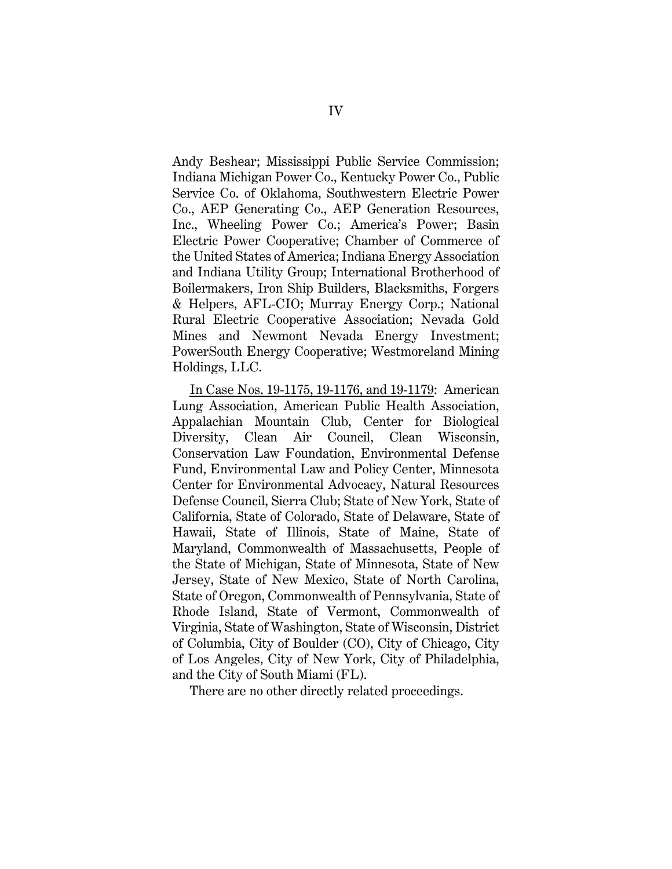Andy Beshear; Mississippi Public Service Commission; Indiana Michigan Power Co., Kentucky Power Co., Public Service Co. of Oklahoma, Southwestern Electric Power Co., AEP Generating Co., AEP Generation Resources, Inc., Wheeling Power Co.; America's Power; Basin Electric Power Cooperative; Chamber of Commerce of the United States of America; Indiana Energy Association and Indiana Utility Group; International Brotherhood of Boilermakers, Iron Ship Builders, Blacksmiths, Forgers & Helpers, AFL-CIO; Murray Energy Corp.; National Rural Electric Cooperative Association; Nevada Gold Mines and Newmont Nevada Energy Investment; PowerSouth Energy Cooperative; Westmoreland Mining Holdings, LLC.

In Case Nos. 19-1175, 19-1176, and 19-1179: American Lung Association, American Public Health Association, Appalachian Mountain Club, Center for Biological Diversity, Clean Air Council, Clean Wisconsin, Conservation Law Foundation, Environmental Defense Fund, Environmental Law and Policy Center, Minnesota Center for Environmental Advocacy, Natural Resources Defense Council, Sierra Club; State of New York, State of California, State of Colorado, State of Delaware, State of Hawaii, State of Illinois, State of Maine, State of Maryland, Commonwealth of Massachusetts, People of the State of Michigan, State of Minnesota, State of New Jersey, State of New Mexico, State of North Carolina, State of Oregon, Commonwealth of Pennsylvania, State of Rhode Island, State of Vermont, Commonwealth of Virginia, State of Washington, State of Wisconsin, District of Columbia, City of Boulder (CO), City of Chicago, City of Los Angeles, City of New York, City of Philadelphia, and the City of South Miami (FL).

There are no other directly related proceedings.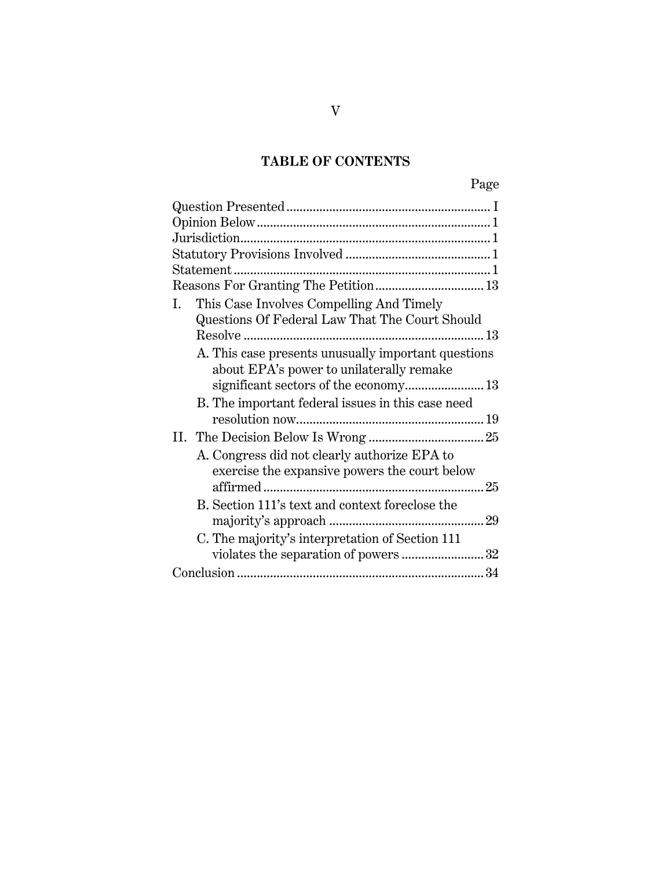# **TABLE OF CONTENTS**

| This Case Involves Compelling And Timely<br>I.      |
|-----------------------------------------------------|
| Questions Of Federal Law That The Court Should      |
|                                                     |
| A. This case presents unusually important questions |
| about EPA's power to unilaterally remake            |
| significant sectors of the economy 13               |
| B. The important federal issues in this case need   |
|                                                     |
|                                                     |
| A. Congress did not clearly authorize EPA to        |
| exercise the expansive powers the court below       |
|                                                     |
| B. Section 111's text and context foreclose the     |
|                                                     |
| C. The majority's interpretation of Section 111     |
| violates the separation of powers 32                |
|                                                     |
|                                                     |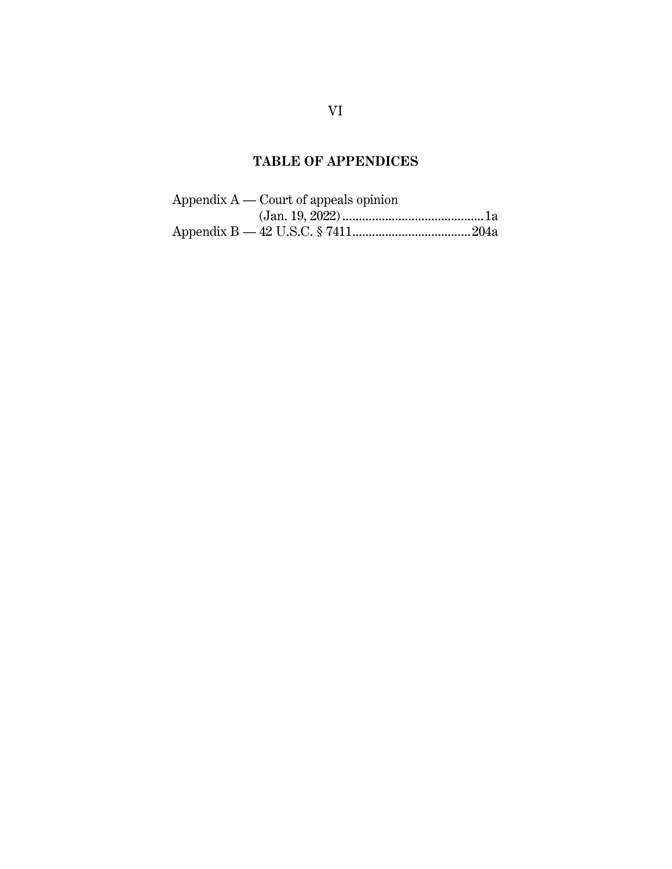# **TABLE OF APPENDICES**

| Appendix $A$ — Court of appeals opinion |  |
|-----------------------------------------|--|
|                                         |  |
|                                         |  |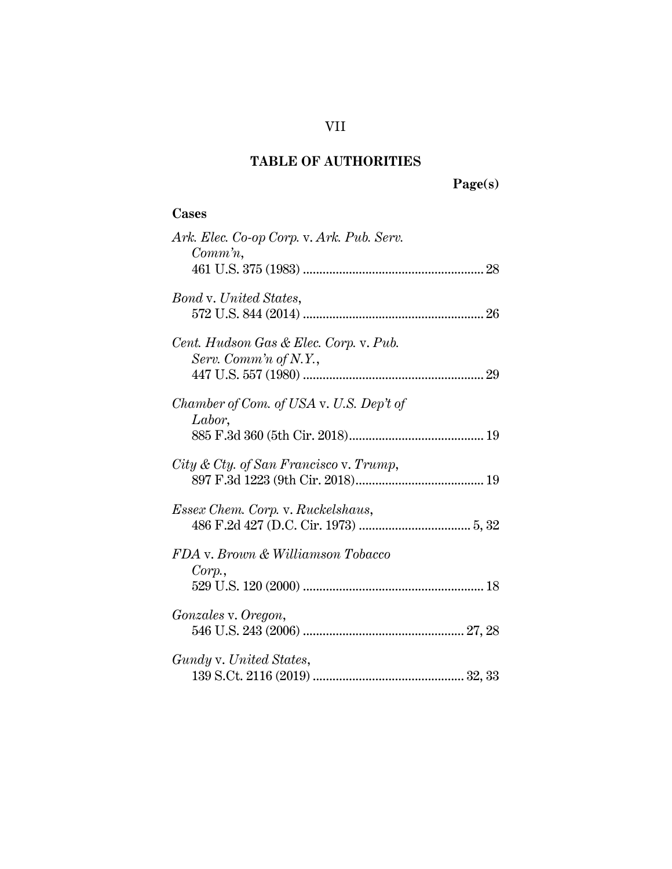VII

## **Cases**

| Ark. Elec. Co-op Corp. v. Ark. Pub. Serv.<br>$Commn$ , |  |
|--------------------------------------------------------|--|
|                                                        |  |
| <b>Bond v. United States,</b>                          |  |
|                                                        |  |
| Cent. Hudson Gas & Elec. Corp. v. Pub.                 |  |
| Serv. Comm'n of N.Y.,                                  |  |
| Chamber of Com. of USA v. U.S. Dep't of                |  |
| Labor,                                                 |  |
| $City & City.$ of San Francisco v. Trump,              |  |
|                                                        |  |
| <i>Essex Chem. Corp. v. Ruckelshaus,</i>               |  |
|                                                        |  |
| FDA v. Brown & Williamson Tobacco                      |  |
| Corp.                                                  |  |
|                                                        |  |
| Gonzales v. Oregon,                                    |  |
|                                                        |  |
| Gundy v. United States,                                |  |
|                                                        |  |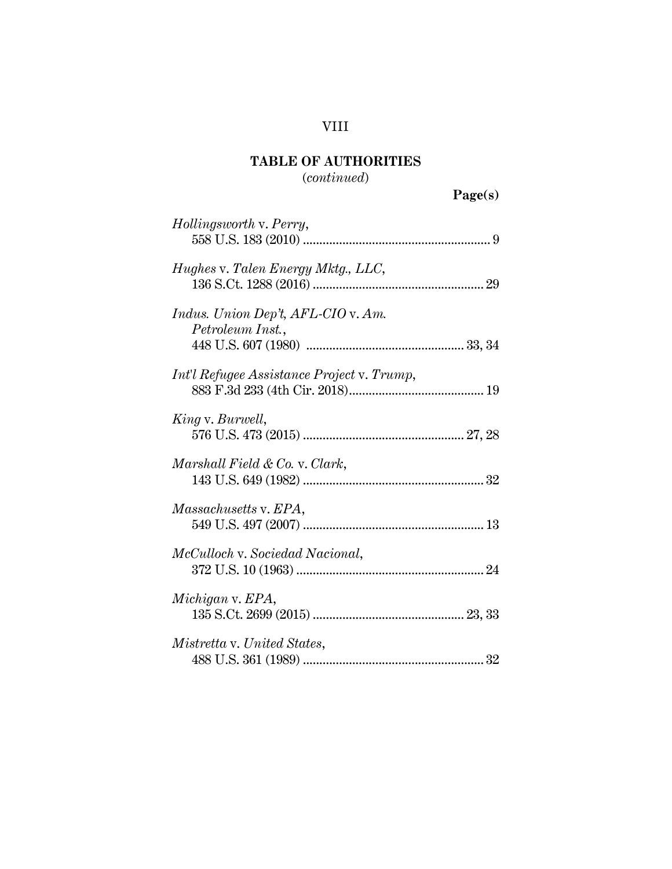# VIII

# **TABLE OF AUTHORITIES**

# (*continued*)

**Page(s)**

| Hollingsworth v. Perry,                                       |  |
|---------------------------------------------------------------|--|
| Hughes v. Talen Energy Mktg., LLC,                            |  |
| <i>Indus. Union Dep't, AFL-CIO v. Am.</i><br>Petroleum Inst., |  |
| Int'l Refugee Assistance Project v. Trump,                    |  |
| King v. Burwell,                                              |  |
| Marshall Field & Co. v. Clark,                                |  |
| <i>Massachusetts v. EPA,</i>                                  |  |
| McCulloch v. Sociedad Nacional,                               |  |
| Michigan v. EPA,                                              |  |
| Mistretta v. United States,                                   |  |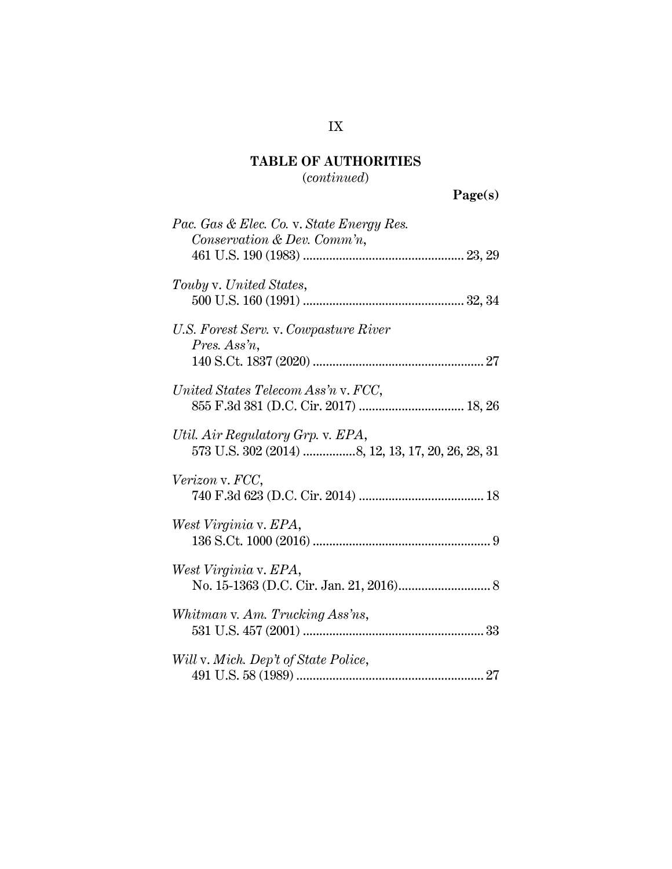# (*continued*)

**Page(s)**

| Pac. Gas & Elec. Co. v. State Energy Res.                                              |
|----------------------------------------------------------------------------------------|
| Conservation & Dev. Comm'n,                                                            |
|                                                                                        |
| Touby v. United States,                                                                |
|                                                                                        |
| U.S. Forest Serv. v. Cowpasture River<br>Pres. Ass'n,                                  |
|                                                                                        |
| United States Telecom Ass'n v. FCC,<br>855 F.3d 381 (D.C. Cir. 2017)  18, 26           |
|                                                                                        |
| Util. Air Regulatory Grp. v. EPA,<br>573 U.S. 302 (2014) 8, 12, 13, 17, 20, 26, 28, 31 |
| Verizon v. FCC,                                                                        |
|                                                                                        |
| West Virginia v. EPA,                                                                  |
|                                                                                        |
| West Virginia v. EPA,                                                                  |
|                                                                                        |
| Whitman v. Am. Trucking Ass'ns,                                                        |
|                                                                                        |
| Will v. Mich. Dep't of State Police,                                                   |
|                                                                                        |
|                                                                                        |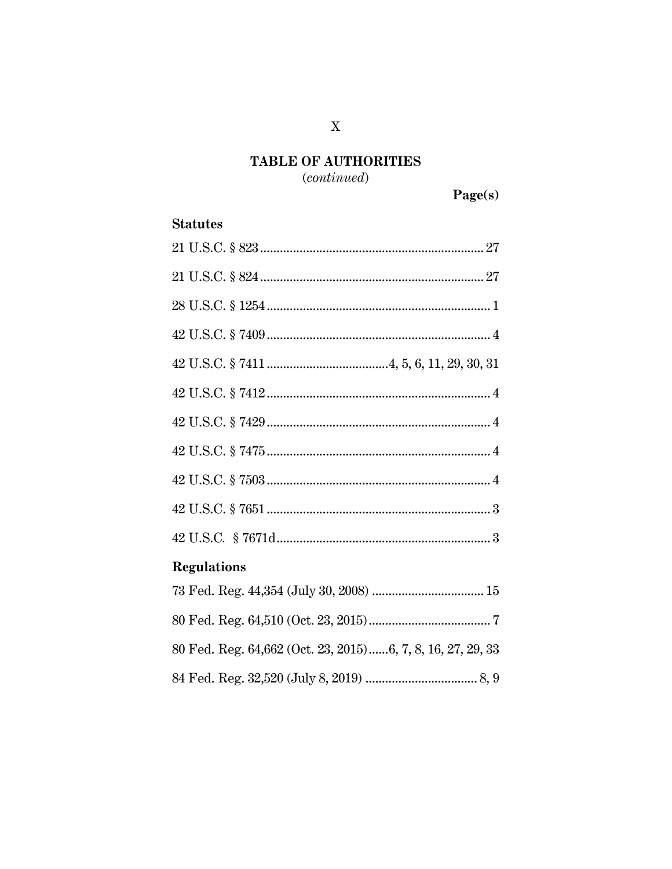$(continued)$ 

## **Statutes**

| <b>Regulations</b>                                         |
|------------------------------------------------------------|
|                                                            |
|                                                            |
| 80 Fed. Reg. 64,662 (Oct. 23, 2015)6, 7, 8, 16, 27, 29, 33 |
|                                                            |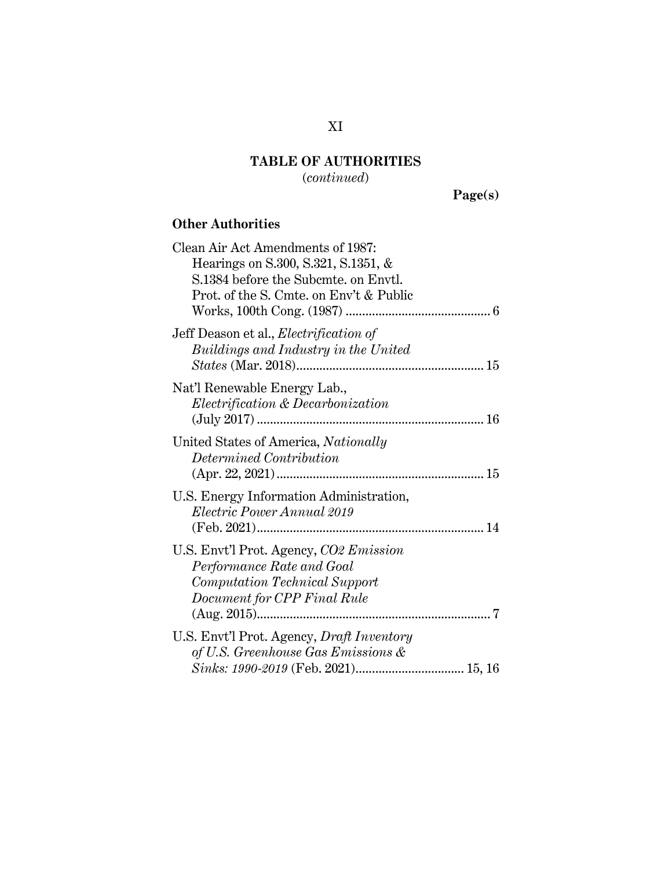(*continued*)

**Page(s)**

# **Other Authorities**

| Clean Air Act Amendments of 1987:<br>Hearings on S.300, S.321, S.1351, &<br>S.1384 before the Subcmte, on Envtl.                                |
|-------------------------------------------------------------------------------------------------------------------------------------------------|
| Prot. of the S. Cmte. on Env't & Public                                                                                                         |
| Jeff Deason et al., <i>Electrification of</i><br>Buildings and Industry in the United                                                           |
| Nat'l Renewable Energy Lab.,<br>Electrification & Decarbonization                                                                               |
| United States of America, Nationally<br>Determined Contribution                                                                                 |
| U.S. Energy Information Administration,<br>Electric Power Annual 2019                                                                           |
| U.S. Envt'l Prot. Agency, CO2 Emission<br>Performance Rate and Goal<br><i>Computation Technical Support</i><br>Document for CPP Final Rule<br>7 |
| U.S. Envt'l Prot. Agency, Draft Inventory<br>of U.S. Greenhouse Gas Emissions &                                                                 |

# XI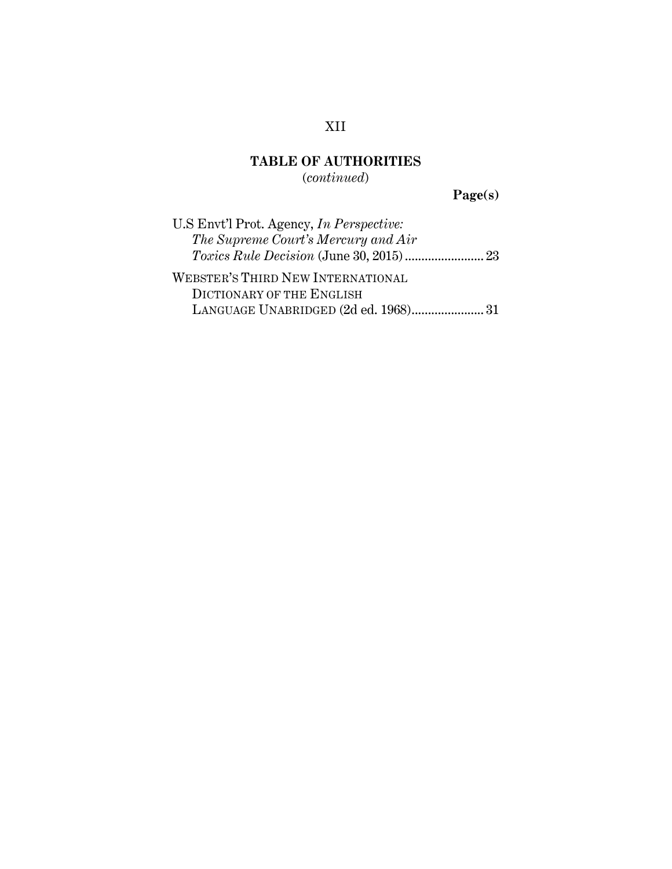(*continued*)

**Page(s)**

| U.S Envt'l Prot. Agency, <i>In Perspective</i> : |
|--------------------------------------------------|
| The Supreme Court's Mercury and Air              |
|                                                  |
| WEBSTER'S THIRD NEW INTERNATIONAL                |
| DICTIONARY OF THE ENGLISH                        |
| LANGUAGE UNABRIDGED (2d ed. 1968)31              |

# XII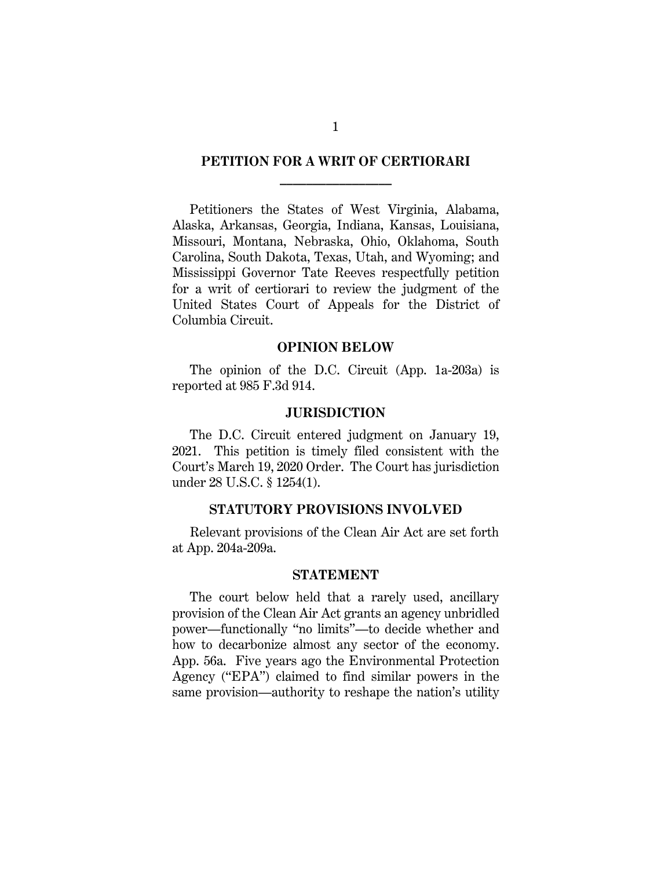## **PETITION FOR A WRIT OF CERTIORARI \_\_\_\_\_\_\_\_\_\_\_\_\_\_\_\_\_**

Petitioners the States of West Virginia, Alabama, Alaska, Arkansas, Georgia, Indiana, Kansas, Louisiana, Missouri, Montana, Nebraska, Ohio, Oklahoma, South Carolina, South Dakota, Texas, Utah, and Wyoming; and Mississippi Governor Tate Reeves respectfully petition for a writ of certiorari to review the judgment of the United States Court of Appeals for the District of Columbia Circuit.

#### **OPINION BELOW**

The opinion of the D.C. Circuit (App. 1a-203a) is reported at 985 F.3d 914.

### **JURISDICTION**

The D.C. Circuit entered judgment on January 19, 2021. This petition is timely filed consistent with the Court's March 19, 2020 Order. The Court has jurisdiction under 28 U.S.C. § 1254(1).

#### <span id="page-13-0"></span>**STATUTORY PROVISIONS INVOLVED**

Relevant provisions of the Clean Air Act are set forth at App. 204a-209a.

### **STATEMENT**

The court below held that a rarely used, ancillary provision of the Clean Air Act grants an agency unbridled power—functionally "no limits"—to decide whether and how to decarbonize almost any sector of the economy. App. 56a. Five years ago the Environmental Protection Agency ("EPA") claimed to find similar powers in the same provision—authority to reshape the nation's utility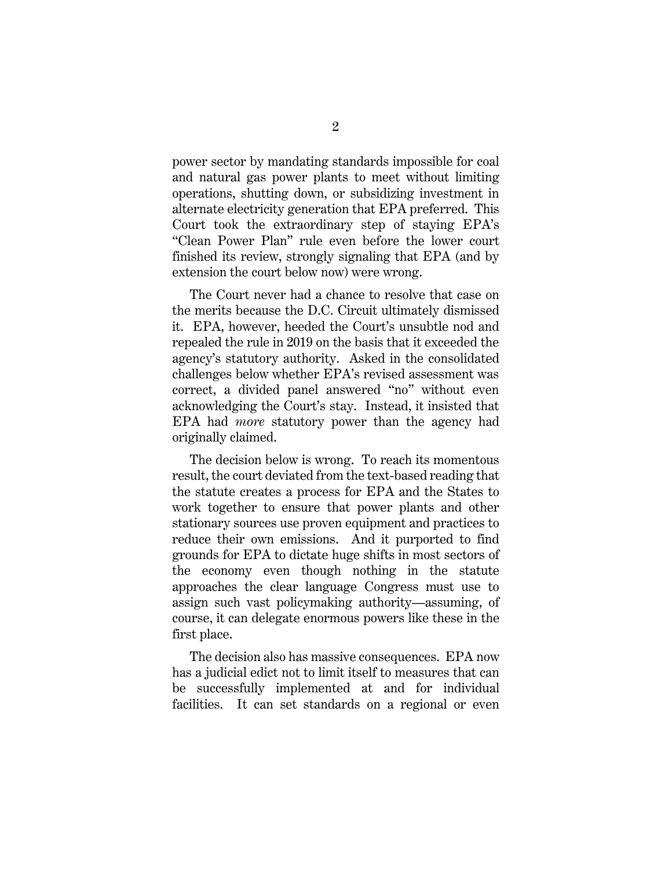power sector by mandating standards impossible for coal and natural gas power plants to meet without limiting operations, shutting down, or subsidizing investment in alternate electricity generation that EPA preferred. This Court took the extraordinary step of staying EPA's "Clean Power Plan" rule even before the lower court finished its review, strongly signaling that EPA (and by extension the court below now) were wrong.

The Court never had a chance to resolve that case on the merits because the D.C. Circuit ultimately dismissed it. EPA, however, heeded the Court's unsubtle nod and repealed the rule in 2019 on the basis that it exceeded the agency's statutory authority. Asked in the consolidated challenges below whether EPA's revised assessment was correct, a divided panel answered "no" without even acknowledging the Court's stay. Instead, it insisted that EPA had *more* statutory power than the agency had originally claimed.

The decision below is wrong. To reach its momentous result, the court deviated from the text-based reading that the statute creates a process for EPA and the States to work together to ensure that power plants and other stationary sources use proven equipment and practices to reduce their own emissions. And it purported to find grounds for EPA to dictate huge shifts in most sectors of the economy even though nothing in the statute approaches the clear language Congress must use to assign such vast policymaking authority—assuming, of course, it can delegate enormous powers like these in the first place.

The decision also has massive consequences. EPA now has a judicial edict not to limit itself to measures that can be successfully implemented at and for individual facilities. It can set standards on a regional or even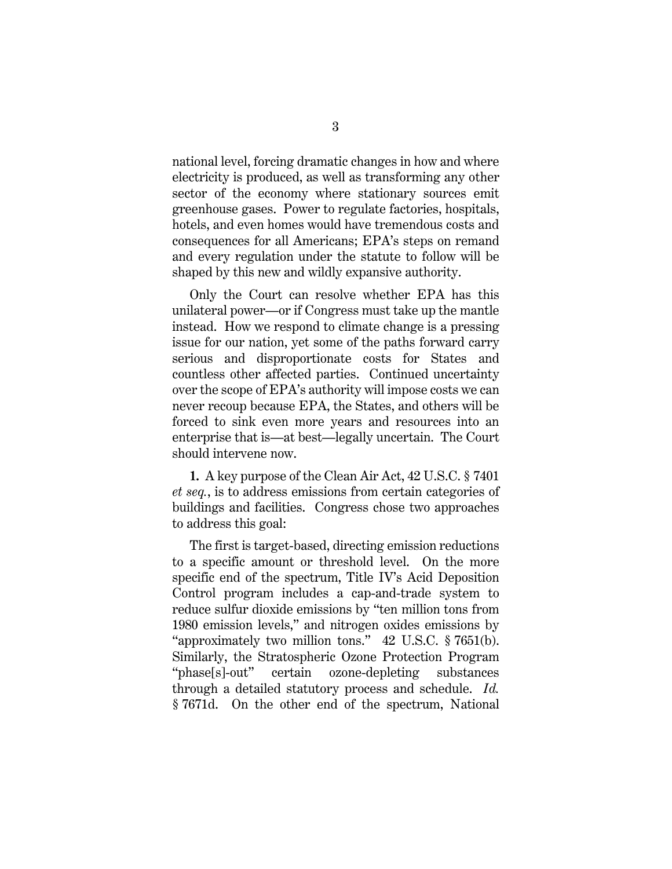national level, forcing dramatic changes in how and where electricity is produced, as well as transforming any other sector of the economy where stationary sources emit greenhouse gases. Power to regulate factories, hospitals, hotels, and even homes would have tremendous costs and consequences for all Americans; EPA's steps on remand and every regulation under the statute to follow will be shaped by this new and wildly expansive authority.

Only the Court can resolve whether EPA has this unilateral power—or if Congress must take up the mantle instead. How we respond to climate change is a pressing issue for our nation, yet some of the paths forward carry serious and disproportionate costs for States and countless other affected parties. Continued uncertainty over the scope of EPA's authority will impose costs we can never recoup because EPA, the States, and others will be forced to sink even more years and resources into an enterprise that is—at best—legally uncertain. The Court should intervene now.

**1.** A key purpose of the Clean Air Act, 42 U.S.C. § 7401 *et seq.*, is to address emissions from certain categories of buildings and facilities. Congress chose two approaches to address this goal:

<span id="page-15-1"></span><span id="page-15-0"></span>The first is target-based, directing emission reductions to a specific amount or threshold level. On the more specific end of the spectrum, Title IV's Acid Deposition Control program includes a cap-and-trade system to reduce sulfur dioxide emissions by "ten million tons from 1980 emission levels," and nitrogen oxides emissions by "approximately two million tons." 42 U.S.C. § 7651(b). Similarly, the Stratospheric Ozone Protection Program "phase[s]-out" certain ozone-depleting substances through a detailed statutory process and schedule. *Id.*  § 7671d. On the other end of the spectrum, National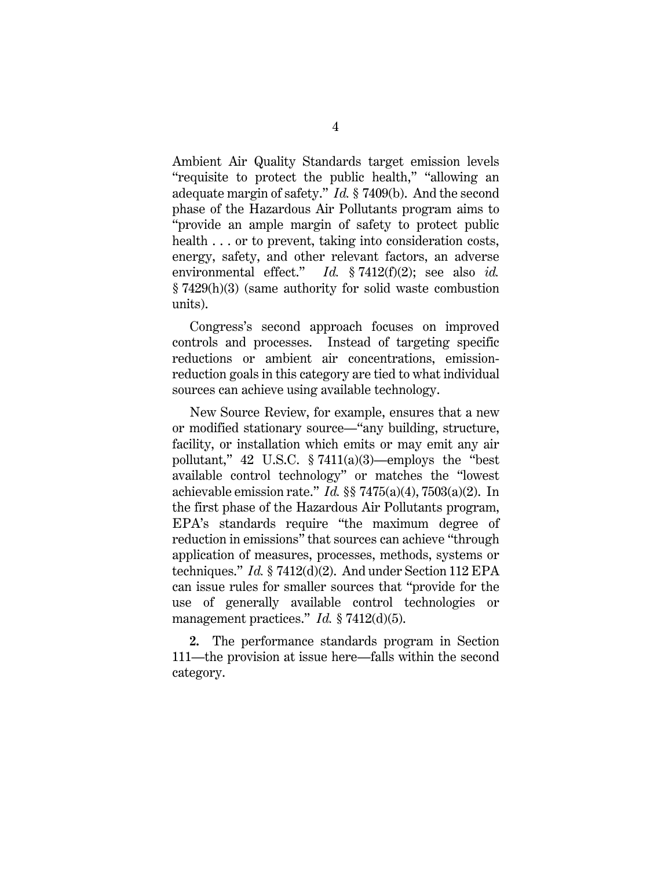Ambient Air Quality Standards target emission levels "requisite to protect the public health," "allowing an adequate margin of safety." *Id.* § 7409(b). And the second phase of the Hazardous Air Pollutants program aims to "provide an ample margin of safety to protect public health . . . or to prevent, taking into consideration costs, energy, safety, and other relevant factors, an adverse environmental effect." *Id.* § 7412(f)(2); see also *id.*  § 7429(h)(3) (same authority for solid waste combustion units).

<span id="page-16-1"></span>Congress's second approach focuses on improved controls and processes. Instead of targeting specific reductions or ambient air concentrations, emissionreduction goals in this category are tied to what individual sources can achieve using available technology.

<span id="page-16-2"></span><span id="page-16-0"></span>New Source Review, for example, ensures that a new or modified stationary source—"any building, structure, facility, or installation which emits or may emit any air pollutant,"  $42 \text{ U.S.C. }$   $\S 7411(a)(3)$ —employs the "best" available control technology" or matches the "lowest achievable emission rate." *Id.* §§ 7475(a)(4), 7503(a)(2). In the first phase of the Hazardous Air Pollutants program, EPA's standards require "the maximum degree of reduction in emissions" that sources can achieve "through application of measures, processes, methods, systems or techniques." *Id.* § 7412(d)(2). And under Section 112 EPA can issue rules for smaller sources that "provide for the use of generally available control technologies or management practices." *Id.* § 7412(d)(5).

**2.** The performance standards program in Section 111—the provision at issue here—falls within the second category.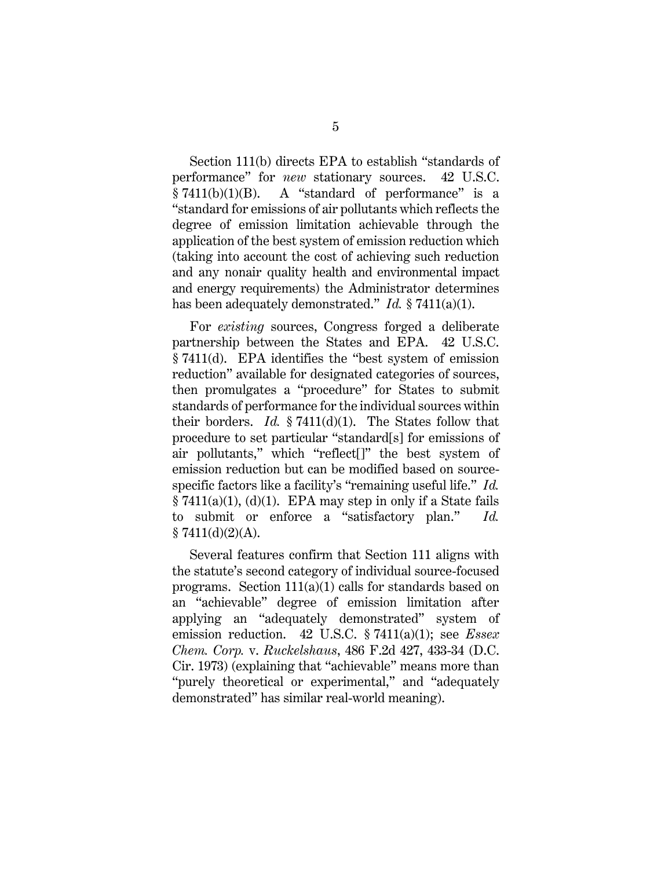<span id="page-17-1"></span>Section 111(b) directs EPA to establish "standards of performance" for *new* stationary sources. 42 U.S.C.  $§ 7411(b)(1)(B)$ . A "standard of performance" is a "standard for emissions of air pollutants which reflects the degree of emission limitation achievable through the application of the best system of emission reduction which (taking into account the cost of achieving such reduction and any nonair quality health and environmental impact and energy requirements) the Administrator determines has been adequately demonstrated." *Id.* § 7411(a)(1).

For *existing* sources, Congress forged a deliberate partnership between the States and EPA. 42 U.S.C. § 7411(d). EPA identifies the "best system of emission reduction" available for designated categories of sources, then promulgates a "procedure" for States to submit standards of performance for the individual sources within their borders. *Id.* § 7411(d)(1). The States follow that procedure to set particular "standard[s] for emissions of air pollutants," which "reflect[]" the best system of emission reduction but can be modified based on sourcespecific factors like a facility's "remaining useful life." *Id.*  $§ 7411(a)(1), (d)(1).$  EPA may step in only if a State fails to submit or enforce a "satisfactory plan." *Id.*  $$7411(d)(2)(A).$ 

<span id="page-17-0"></span>Several features confirm that Section 111 aligns with the statute's second category of individual source-focused programs. Section 111(a)(1) calls for standards based on an "achievable" degree of emission limitation after applying an "adequately demonstrated" system of emission reduction. 42 U.S.C. § 7411(a)(1); see *Essex Chem. Corp.* v. *Ruckelshaus*, 486 F.2d 427, 433-34 (D.C. Cir. 1973) (explaining that "achievable" means more than "purely theoretical or experimental," and "adequately demonstrated" has similar real-world meaning).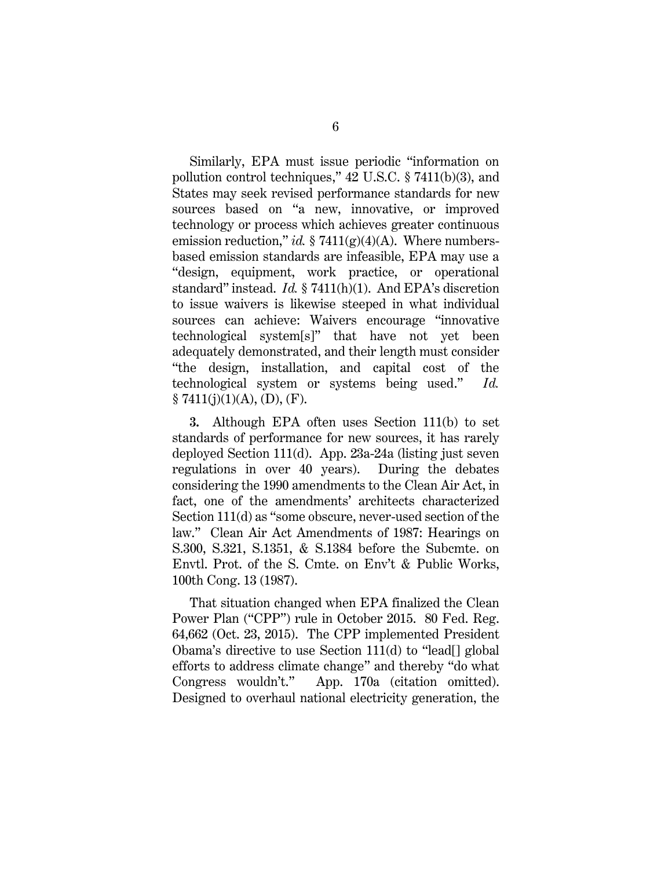<span id="page-18-0"></span>Similarly, EPA must issue periodic "information on pollution control techniques," 42 U.S.C. § 7411(b)(3), and States may seek revised performance standards for new sources based on "a new, innovative, or improved technology or process which achieves greater continuous emission reduction," *id.* § 7411(g)(4)(A). Where numbersbased emission standards are infeasible, EPA may use a "design, equipment, work practice, or operational standard" instead. *Id.* § 7411(h)(1). And EPA's discretion to issue waivers is likewise steeped in what individual sources can achieve: Waivers encourage "innovative technological system[s]" that have not yet been adequately demonstrated, and their length must consider "the design, installation, and capital cost of the technological system or systems being used." *Id.*  $§ 7411(j)(1)(A), (D), (F).$ 

**3.** Although EPA often uses Section 111(b) to set standards of performance for new sources, it has rarely deployed Section 111(d). App. 23a-24a (listing just seven regulations in over 40 years). During the debates considering the 1990 amendments to the Clean Air Act, in fact, one of the amendments' architects characterized Section 111(d) as "some obscure, never-used section of the law." Clean Air Act Amendments of 1987: Hearings on S.300, S.321, S.1351, & S.1384 before the Subcmte. on Envtl. Prot. of the S. Cmte. on Env't & Public Works, 100th Cong. 13 (1987).

<span id="page-18-1"></span>That situation changed when EPA finalized the Clean Power Plan ("CPP") rule in October 2015. 80 Fed. Reg. 64,662 (Oct. 23, 2015). The CPP implemented President Obama's directive to use Section 111(d) to "lead[] global efforts to address climate change" and thereby "do what Congress wouldn't." App. 170a (citation omitted). Designed to overhaul national electricity generation, the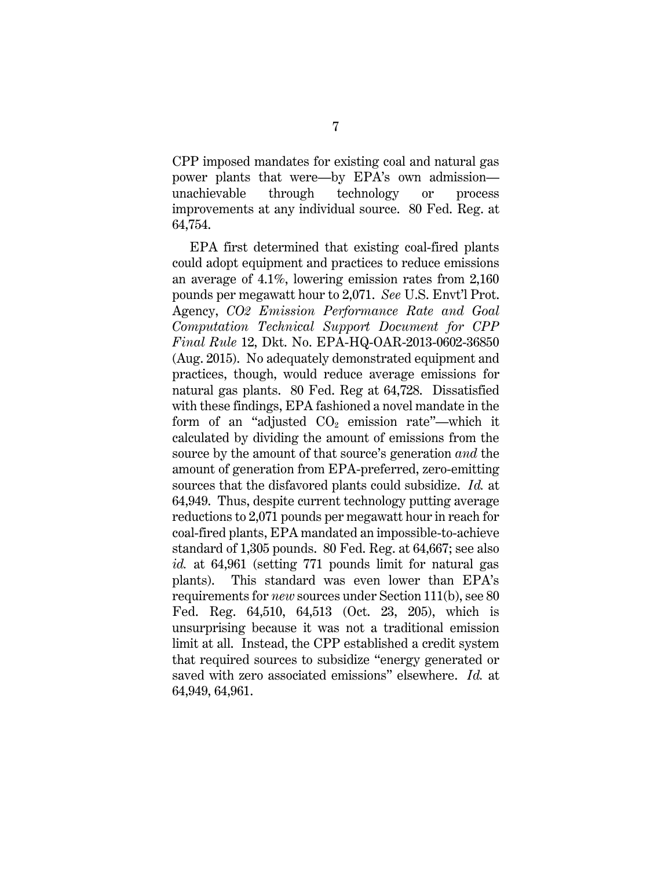CPP imposed mandates for existing coal and natural gas power plants that were—by EPA's own admission unachievable through technology or process improvements at any individual source. 80 Fed. Reg. at 64,754.

<span id="page-19-1"></span><span id="page-19-0"></span>EPA first determined that existing coal-fired plants could adopt equipment and practices to reduce emissions an average of 4.1%, lowering emission rates from 2,160 pounds per megawatt hour to 2,071. *See* U.S. Envt'l Prot. Agency, *CO2 Emission Performance Rate and Goal Computation Technical Support Document for CPP Final Rule* 12, Dkt. No. EPA-HQ-OAR-2013-0602-36850 (Aug. 2015). No adequately demonstrated equipment and practices, though, would reduce average emissions for natural gas plants. 80 Fed. Reg at 64,728. Dissatisfied with these findings, EPA fashioned a novel mandate in the form of an "adjusted  $CO<sub>2</sub>$  emission rate"—which it calculated by dividing the amount of emissions from the source by the amount of that source's generation *and* the amount of generation from EPA-preferred, zero-emitting sources that the disfavored plants could subsidize. *Id.* at 64,949.Thus, despite current technology putting average reductions to 2,071 pounds per megawatt hour in reach for coal-fired plants, EPA mandated an impossible-to-achieve standard of 1,305 pounds. 80 Fed. Reg. at 64,667; see also *id.* at 64,961 (setting 771 pounds limit for natural gas plants). This standard was even lower than EPA's requirements for *new* sources under Section 111(b), see 80 Fed. Reg. 64,510, 64,513 (Oct. 23, 205), which is unsurprising because it was not a traditional emission limit at all. Instead, the CPP established a credit system that required sources to subsidize "energy generated or saved with zero associated emissions" elsewhere. *Id.* at 64,949, 64,961.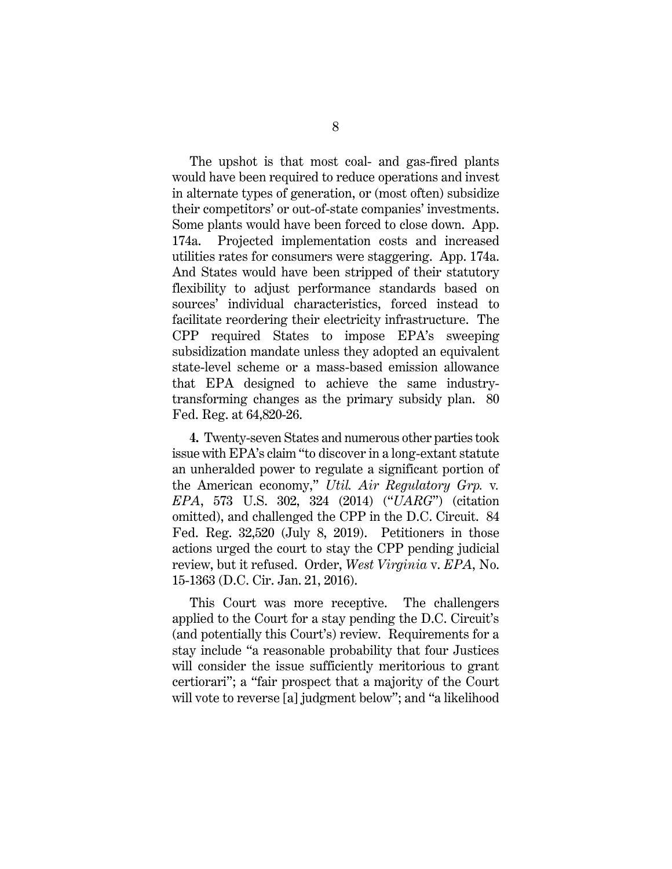The upshot is that most coal- and gas-fired plants would have been required to reduce operations and invest in alternate types of generation, or (most often) subsidize their competitors' or out-of-state companies' investments. Some plants would have been forced to close down. App. 174a. Projected implementation costs and increased utilities rates for consumers were staggering. App. 174a. And States would have been stripped of their statutory flexibility to adjust performance standards based on sources' individual characteristics, forced instead to facilitate reordering their electricity infrastructure. The CPP required States to impose EPA's sweeping subsidization mandate unless they adopted an equivalent state-level scheme or a mass-based emission allowance that EPA designed to achieve the same industrytransforming changes as the primary subsidy plan. 80 Fed. Reg. at 64,820-26.

<span id="page-20-2"></span><span id="page-20-1"></span>**4.** Twenty-seven States and numerous other parties took issue with EPA's claim "to discover in a long-extant statute an unheralded power to regulate a significant portion of the American economy," *Util. Air Regulatory Grp.* v*. EPA*, 573 U.S. 302, 324 (2014) ("*UARG*") (citation omitted), and challenged the CPP in the D.C. Circuit. 84 Fed. Reg. 32,520 (July 8, 2019). Petitioners in those actions urged the court to stay the CPP pending judicial review, but it refused. Order, *West Virginia* v. *EPA*, No. 15-1363 (D.C. Cir. Jan. 21, 2016).

<span id="page-20-0"></span>This Court was more receptive. The challengers applied to the Court for a stay pending the D.C. Circuit's (and potentially this Court's) review. Requirements for a stay include "a reasonable probability that four Justices will consider the issue sufficiently meritorious to grant certiorari"; a "fair prospect that a majority of the Court will vote to reverse [a] judgment below"; and "a likelihood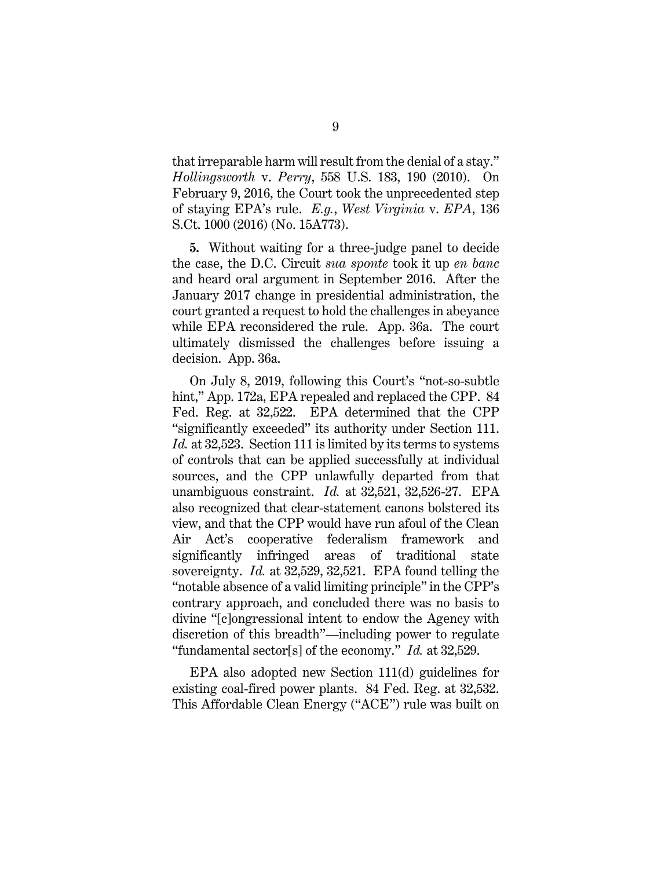<span id="page-21-0"></span>that irreparable harm will result from the denial of a stay." *Hollingsworth* v. *Perry*, 558 U.S. 183, 190 (2010). On February 9, 2016, the Court took the unprecedented step of staying EPA's rule. *E.g.*, *West Virginia* v. *EPA*, 136 S.Ct. 1000 (2016) (No. 15A773).

<span id="page-21-1"></span>**5.** Without waiting for a three-judge panel to decide the case, the D.C. Circuit *sua sponte* took it up *en banc*  and heard oral argument in September 2016. After the January 2017 change in presidential administration, the court granted a request to hold the challenges in abeyance while EPA reconsidered the rule. App. 36a. The court ultimately dismissed the challenges before issuing a decision. App. 36a.

<span id="page-21-2"></span>On July 8, 2019, following this Court's "not-so-subtle hint," App. 172a, EPA repealed and replaced the CPP. 84 Fed. Reg. at 32,522. EPA determined that the CPP "significantly exceeded" its authority under Section 111. *Id.* at 32,523. Section 111 is limited by its terms to systems of controls that can be applied successfully at individual sources, and the CPP unlawfully departed from that unambiguous constraint. *Id.* at 32,521, 32,526-27. EPA also recognized that clear-statement canons bolstered its view, and that the CPP would have run afoul of the Clean Air Act's cooperative federalism framework and significantly infringed areas of traditional state sovereignty. *Id.* at 32,529, 32,521. EPA found telling the "notable absence of a valid limiting principle" in the CPP's contrary approach, and concluded there was no basis to divine "[c]ongressional intent to endow the Agency with discretion of this breadth"—including power to regulate "fundamental sector[s] of the economy." *Id.* at 32,529.

EPA also adopted new Section 111(d) guidelines for existing coal-fired power plants. 84 Fed. Reg. at 32,532. This Affordable Clean Energy ("ACE") rule was built on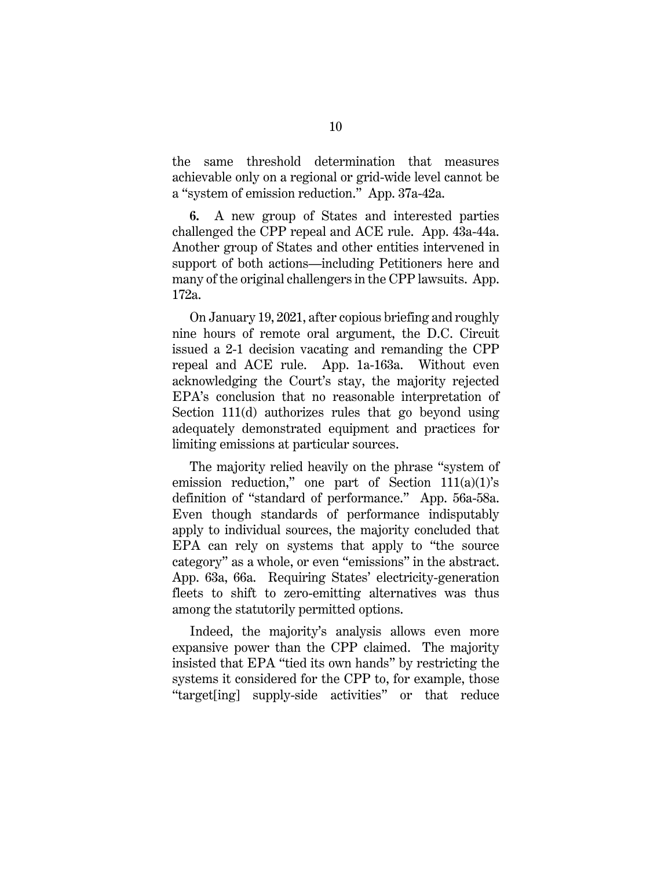the same threshold determination that measures achievable only on a regional or grid-wide level cannot be a "system of emission reduction." App. 37a-42a.

**6.** A new group of States and interested parties challenged the CPP repeal and ACE rule. App. 43a-44a. Another group of States and other entities intervened in support of both actions—including Petitioners here and many of the original challengers in the CPP lawsuits. App. 172a.

On January 19, 2021, after copious briefing and roughly nine hours of remote oral argument, the D.C. Circuit issued a 2-1 decision vacating and remanding the CPP repeal and ACE rule. App. 1a-163a. Without even acknowledging the Court's stay, the majority rejected EPA's conclusion that no reasonable interpretation of Section 111(d) authorizes rules that go beyond using adequately demonstrated equipment and practices for limiting emissions at particular sources.

The majority relied heavily on the phrase "system of emission reduction," one part of Section  $111(a)(1)$ 's definition of "standard of performance." App. 56a-58a. Even though standards of performance indisputably apply to individual sources, the majority concluded that EPA can rely on systems that apply to "the source category" as a whole, or even "emissions" in the abstract. App. 63a, 66a. Requiring States' electricity-generation fleets to shift to zero-emitting alternatives was thus among the statutorily permitted options.

Indeed, the majority's analysis allows even more expansive power than the CPP claimed. The majority insisted that EPA "tied its own hands" by restricting the systems it considered for the CPP to, for example, those "target[ing] supply-side activities" or that reduce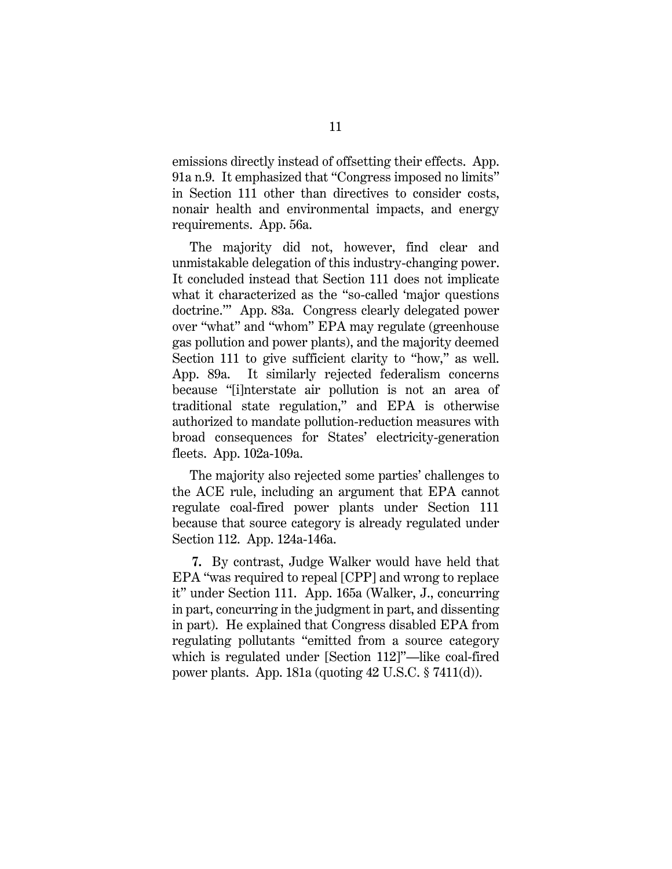emissions directly instead of offsetting their effects. App. 91a n.9. It emphasized that "Congress imposed no limits" in Section 111 other than directives to consider costs, nonair health and environmental impacts, and energy requirements. App. 56a.

The majority did not, however, find clear and unmistakable delegation of this industry-changing power. It concluded instead that Section 111 does not implicate what it characterized as the "so-called 'major questions doctrine.'" App. 83a. Congress clearly delegated power over "what" and "whom" EPA may regulate (greenhouse gas pollution and power plants), and the majority deemed Section 111 to give sufficient clarity to "how," as well. App. 89a. It similarly rejected federalism concerns because "[i]nterstate air pollution is not an area of traditional state regulation," and EPA is otherwise authorized to mandate pollution-reduction measures with broad consequences for States' electricity-generation fleets. App. 102a-109a.

The majority also rejected some parties' challenges to the ACE rule, including an argument that EPA cannot regulate coal-fired power plants under Section 111 because that source category is already regulated under Section 112. App. 124a-146a.

<span id="page-23-0"></span>**7.** By contrast, Judge Walker would have held that EPA "was required to repeal [CPP] and wrong to replace it" under Section 111. App. 165a (Walker, J., concurring in part, concurring in the judgment in part, and dissenting in part). He explained that Congress disabled EPA from regulating pollutants "emitted from a source category which is regulated under [Section 112]"—like coal-fired power plants. App. 181a (quoting 42 U.S.C. § 7411(d)).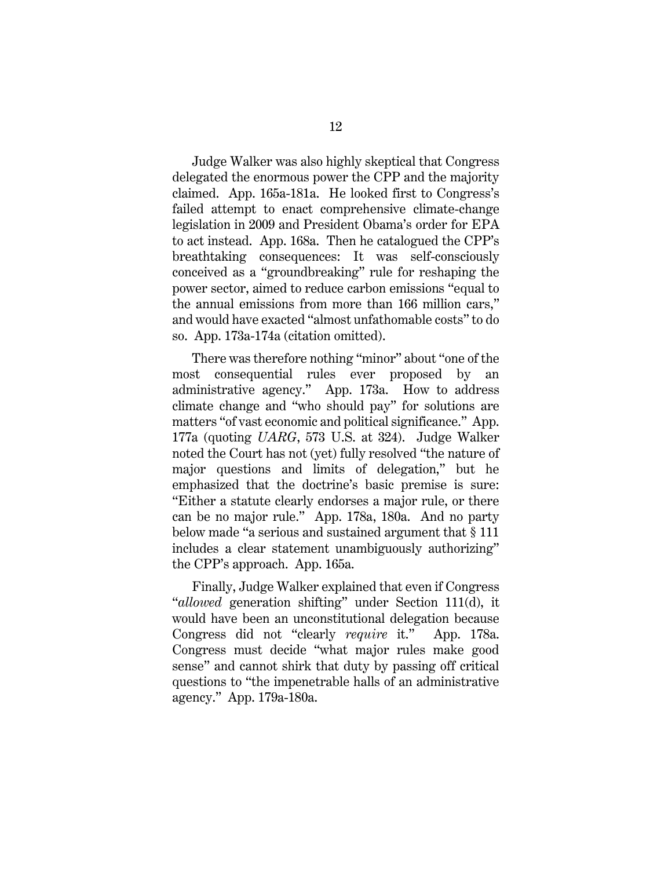Judge Walker was also highly skeptical that Congress delegated the enormous power the CPP and the majority claimed. App. 165a-181a. He looked first to Congress's failed attempt to enact comprehensive climate-change legislation in 2009 and President Obama's order for EPA to act instead. App. 168a. Then he catalogued the CPP's breathtaking consequences: It was self-consciously conceived as a "groundbreaking" rule for reshaping the power sector, aimed to reduce carbon emissions "equal to the annual emissions from more than 166 million cars," and would have exacted "almost unfathomable costs" to do so. App. 173a-174a (citation omitted).

<span id="page-24-0"></span>There was therefore nothing "minor" about "one of the most consequential rules ever proposed by an administrative agency." App. 173a. How to address climate change and "who should pay" for solutions are matters "of vast economic and political significance." App. 177a (quoting *UARG*, 573 U.S. at 324). Judge Walker noted the Court has not (yet) fully resolved "the nature of major questions and limits of delegation," but he emphasized that the doctrine's basic premise is sure: "Either a statute clearly endorses a major rule, or there can be no major rule." App. 178a, 180a. And no party below made "a serious and sustained argument that § 111 includes a clear statement unambiguously authorizing" the CPP's approach. App. 165a.

Finally, Judge Walker explained that even if Congress "*allowed* generation shifting" under Section 111(d), it would have been an unconstitutional delegation because Congress did not "clearly *require* it." App. 178a. Congress must decide "what major rules make good sense" and cannot shirk that duty by passing off critical questions to "the impenetrable halls of an administrative agency." App. 179a-180a.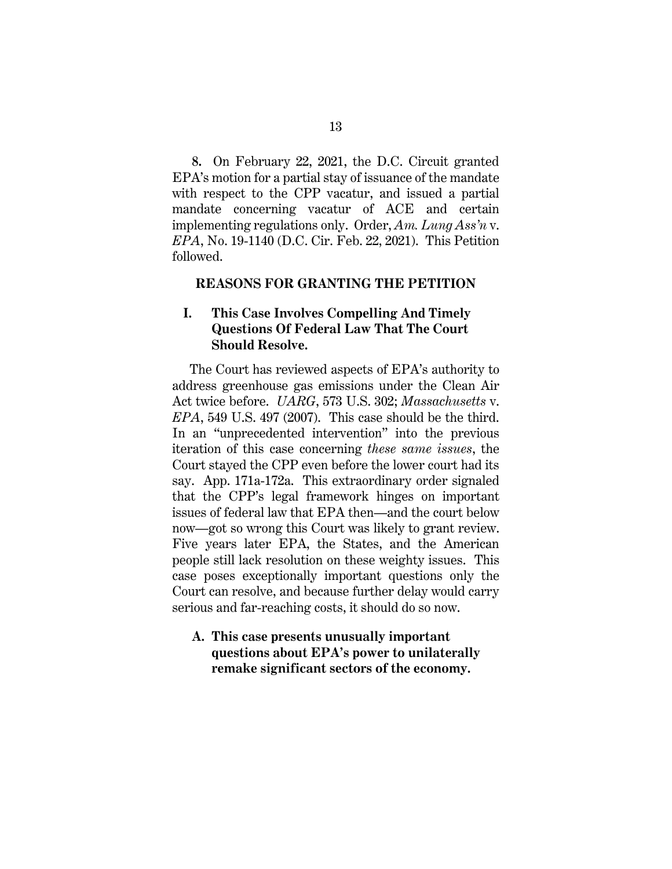**8.** On February 22, 2021, the D.C. Circuit granted EPA's motion for a partial stay of issuance of the mandate with respect to the CPP vacatur, and issued a partial mandate concerning vacatur of ACE and certain implementing regulations only. Order, *Am. Lung Ass'n* v. *EPA*, No. 19-1140 (D.C. Cir. Feb. 22, 2021). This Petition followed.

#### **REASONS FOR GRANTING THE PETITION**

## **I. This Case Involves Compelling And Timely Questions Of Federal Law That The Court Should Resolve.**

<span id="page-25-1"></span><span id="page-25-0"></span>The Court has reviewed aspects of EPA's authority to address greenhouse gas emissions under the Clean Air Act twice before. *UARG*, 573 U.S. 302; *Massachusetts* v. *EPA*, 549 U.S. 497 (2007). This case should be the third. In an "unprecedented intervention" into the previous iteration of this case concerning *these same issues*, the Court stayed the CPP even before the lower court had its say. App. 171a-172a. This extraordinary order signaled that the CPP's legal framework hinges on important issues of federal law that EPA then—and the court below now—got so wrong this Court was likely to grant review. Five years later EPA, the States, and the American people still lack resolution on these weighty issues. This case poses exceptionally important questions only the Court can resolve, and because further delay would carry serious and far-reaching costs, it should do so now.

## **A. This case presents unusually important questions about EPA's power to unilaterally remake significant sectors of the economy.**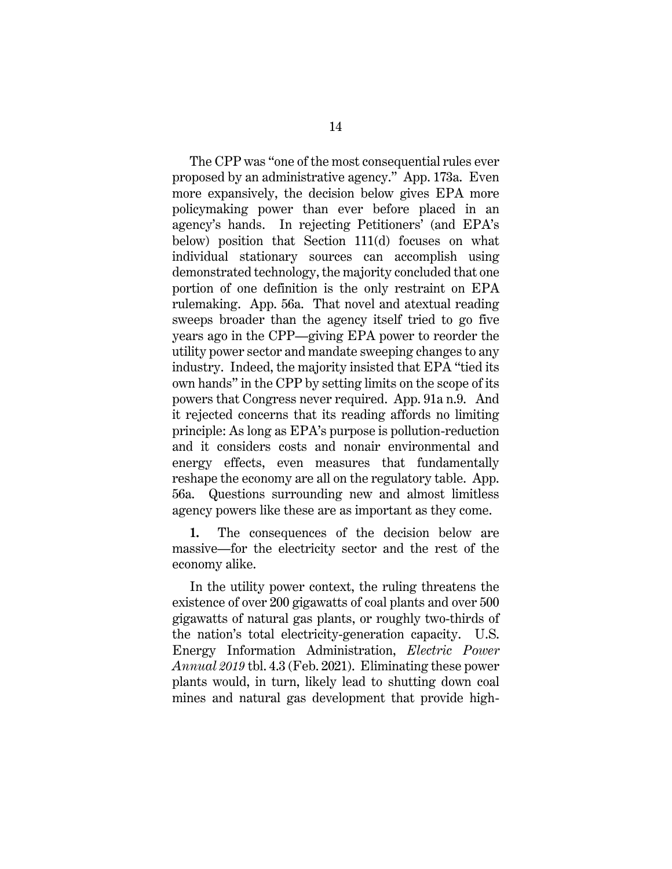The CPP was "one of the most consequential rules ever proposed by an administrative agency." App. 173a. Even more expansively, the decision below gives EPA more policymaking power than ever before placed in an agency's hands. In rejecting Petitioners' (and EPA's below) position that Section 111(d) focuses on what individual stationary sources can accomplish using demonstrated technology, the majority concluded that one portion of one definition is the only restraint on EPA rulemaking. App. 56a. That novel and atextual reading sweeps broader than the agency itself tried to go five years ago in the CPP—giving EPA power to reorder the utility power sector and mandate sweeping changes to any industry. Indeed, the majority insisted that EPA "tied its own hands" in the CPP by setting limits on the scope of its powers that Congress never required. App. 91a n.9. And it rejected concerns that its reading affords no limiting principle: As long as EPA's purpose is pollution-reduction and it considers costs and nonair environmental and energy effects, even measures that fundamentally reshape the economy are all on the regulatory table. App. 56a. Questions surrounding new and almost limitless agency powers like these are as important as they come.

**1.** The consequences of the decision below are massive—for the electricity sector and the rest of the economy alike.

In the utility power context, the ruling threatens the existence of over 200 gigawatts of coal plants and over 500 gigawatts of natural gas plants, or roughly two-thirds of the nation's total electricity-generation capacity. U.S. Energy Information Administration, *Electric Power Annual 2019* tbl. 4.3 (Feb. 2021). Eliminating these power plants would, in turn, likely lead to shutting down coal mines and natural gas development that provide high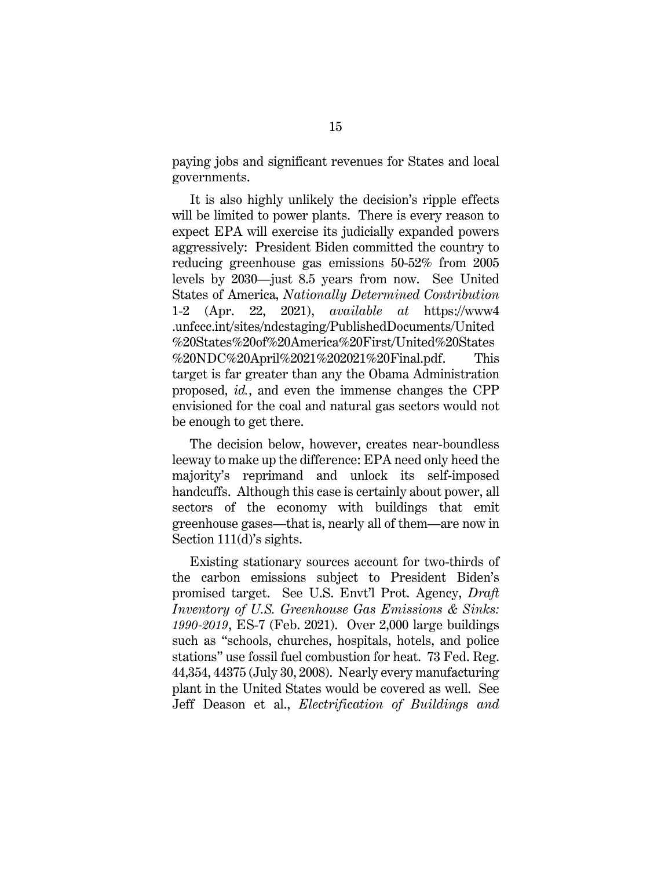paying jobs and significant revenues for States and local governments.

It is also highly unlikely the decision's ripple effects will be limited to power plants. There is every reason to expect EPA will exercise its judicially expanded powers aggressively: President Biden committed the country to reducing greenhouse gas emissions 50-52% from 2005 levels by 2030—just 8.5 years from now. See United States of America, *Nationally Determined Contribution*  1-2 (Apr. 22, 2021), *available at* https://www4 .unfccc.int/sites/ndcstaging/PublishedDocuments/United %20States%20of%20America%20First/United%20States %20NDC%20April%2021%202021%20Final.pdf. This target is far greater than any the Obama Administration proposed, *id.*, and even the immense changes the CPP envisioned for the coal and natural gas sectors would not be enough to get there.

The decision below, however, creates near-boundless leeway to make up the difference: EPA need only heed the majority's reprimand and unlock its self-imposed handcuffs. Although this case is certainly about power, all sectors of the economy with buildings that emit greenhouse gases—that is, nearly all of them—are now in Section 111(d)'s sights.

<span id="page-27-0"></span>Existing stationary sources account for two-thirds of the carbon emissions subject to President Biden's promised target. See U.S. Envt'l Prot. Agency, *Draft Inventory of U.S. Greenhouse Gas Emissions & Sinks: 1990-2019*, ES-7 (Feb. 2021). Over 2,000 large buildings such as "schools, churches, hospitals, hotels, and police stations" use fossil fuel combustion for heat. 73 Fed. Reg. 44,354, 44375 (July 30, 2008). Nearly every manufacturing plant in the United States would be covered as well. See Jeff Deason et al., *Electrification of Buildings and*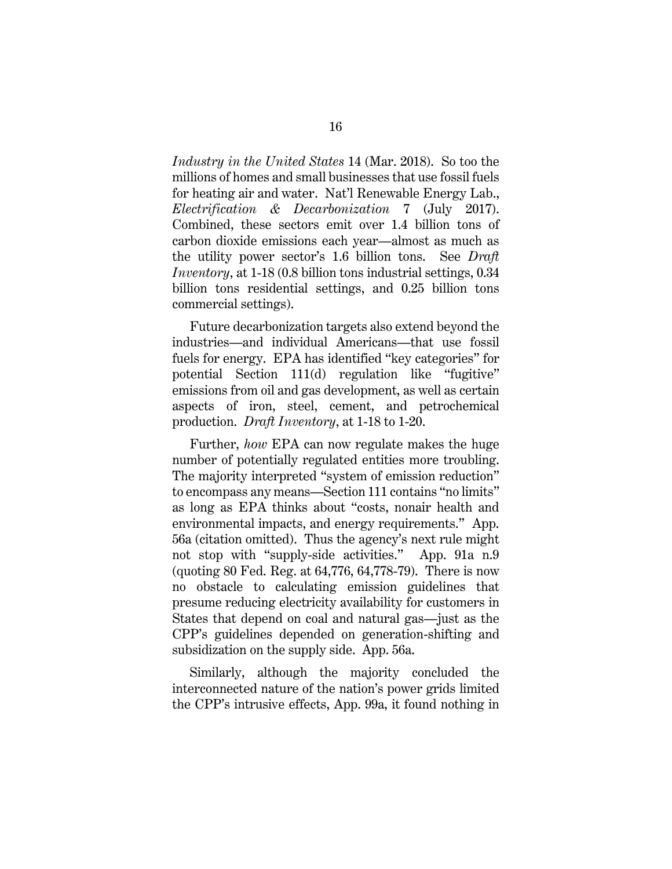*Industry in the United States* 14 (Mar. 2018). So too the millions of homes and small businesses that use fossil fuels for heating air and water. Nat'l Renewable Energy Lab., *Electrification & Decarbonization* 7 (July 2017). Combined, these sectors emit over 1.4 billion tons of carbon dioxide emissions each year—almost as much as the utility power sector's 1.6 billion tons. See *Draft Inventory*, at 1-18 (0.8 billion tons industrial settings, 0.34 billion tons residential settings, and 0.25 billion tons commercial settings).

Future decarbonization targets also extend beyond the industries—and individual Americans—that use fossil fuels for energy. EPA has identified "key categories" for potential Section 111(d) regulation like "fugitive" emissions from oil and gas development, as well as certain aspects of iron, steel, cement, and petrochemical production. *Draft Inventory*, at 1-18 to 1-20.

Further, *how* EPA can now regulate makes the huge number of potentially regulated entities more troubling. The majority interpreted "system of emission reduction" to encompass any means—Section 111 contains "no limits" as long as EPA thinks about "costs, nonair health and environmental impacts, and energy requirements." App. 56a (citation omitted). Thus the agency's next rule might not stop with "supply-side activities." App. 91a n.9 (quoting 80 Fed. Reg. at 64,776, 64,778-79). There is now no obstacle to calculating emission guidelines that presume reducing electricity availability for customers in States that depend on coal and natural gas—just as the CPP's guidelines depended on generation-shifting and subsidization on the supply side. App. 56a.

<span id="page-28-0"></span>Similarly, although the majority concluded the interconnected nature of the nation's power grids limited the CPP's intrusive effects, App. 99a, it found nothing in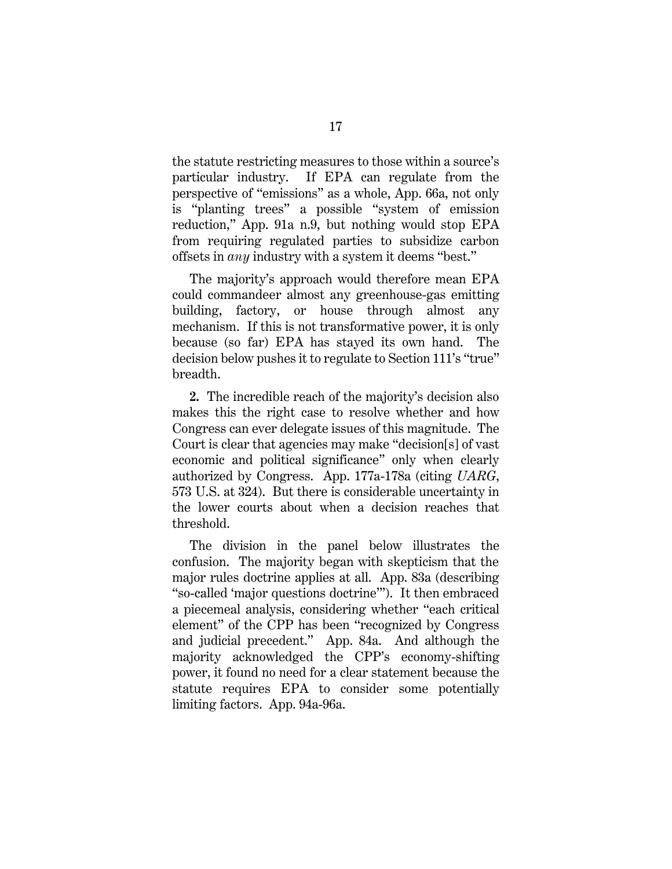the statute restricting measures to those within a source's particular industry. If EPA can regulate from the perspective of "emissions" as a whole, App. 66a, not only is "planting trees" a possible "system of emission reduction," App. 91a n.9, but nothing would stop EPA from requiring regulated parties to subsidize carbon offsets in *any* industry with a system it deems "best."

The majority's approach would therefore mean EPA could commandeer almost any greenhouse-gas emitting building, factory, or house through almost any mechanism. If this is not transformative power, it is only because (so far) EPA has stayed its own hand. The decision below pushes it to regulate to Section 111's "true" breadth.

**2.** The incredible reach of the majority's decision also makes this the right case to resolve whether and how Congress can ever delegate issues of this magnitude. The Court is clear that agencies may make "decision[s] of vast economic and political significance" only when clearly authorized by Congress. App. 177a-178a (citing *UARG*, 573 U.S. at 324). But there is considerable uncertainty in the lower courts about when a decision reaches that threshold.

<span id="page-29-0"></span>The division in the panel below illustrates the confusion. The majority began with skepticism that the major rules doctrine applies at all. App. 83a (describing "so-called 'major questions doctrine'"). It then embraced a piecemeal analysis, considering whether "each critical element" of the CPP has been "recognized by Congress and judicial precedent." App. 84a. And although the majority acknowledged the CPP's economy-shifting power, it found no need for a clear statement because the statute requires EPA to consider some potentially limiting factors. App. 94a-96a.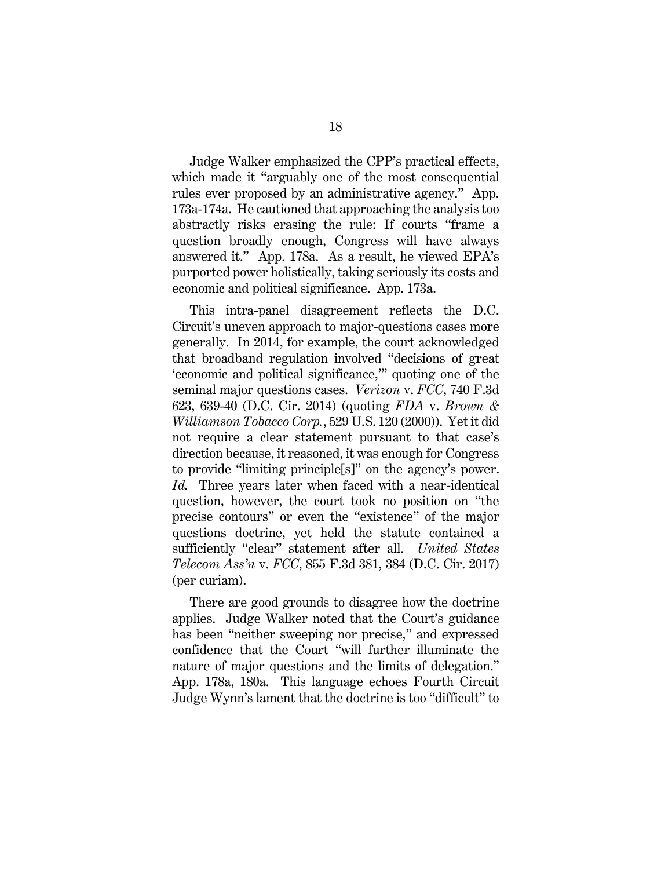Judge Walker emphasized the CPP's practical effects, which made it "arguably one of the most consequential rules ever proposed by an administrative agency." App. 173a-174a. He cautioned that approaching the analysis too abstractly risks erasing the rule: If courts "frame a question broadly enough, Congress will have always answered it." App. 178a. As a result, he viewed EPA's purported power holistically, taking seriously its costs and economic and political significance. App. 173a.

<span id="page-30-2"></span><span id="page-30-0"></span>This intra-panel disagreement reflects the D.C. Circuit's uneven approach to major-questions cases more generally. In 2014, for example, the court acknowledged that broadband regulation involved "decisions of great 'economic and political significance,'" quoting one of the seminal major questions cases. *Verizon* v. *FCC*, 740 F.3d 623, 639-40 (D.C. Cir. 2014) (quoting *FDA* v. *Brown & Williamson Tobacco Corp.*, 529 U.S. 120 (2000)). Yet it did not require a clear statement pursuant to that case's direction because, it reasoned, it was enough for Congress to provide "limiting principle[s]" on the agency's power. *Id.* Three years later when faced with a near-identical question, however, the court took no position on "the precise contours" or even the "existence" of the major questions doctrine, yet held the statute contained a sufficiently "clear" statement after all. *United States Telecom Ass'n* v. *FCC*, 855 F.3d 381, 384 (D.C. Cir. 2017) (per curiam).

<span id="page-30-1"></span>There are good grounds to disagree how the doctrine applies. Judge Walker noted that the Court's guidance has been "neither sweeping nor precise," and expressed confidence that the Court "will further illuminate the nature of major questions and the limits of delegation." App. 178a, 180a. This language echoes Fourth Circuit Judge Wynn's lament that the doctrine is too "difficult" to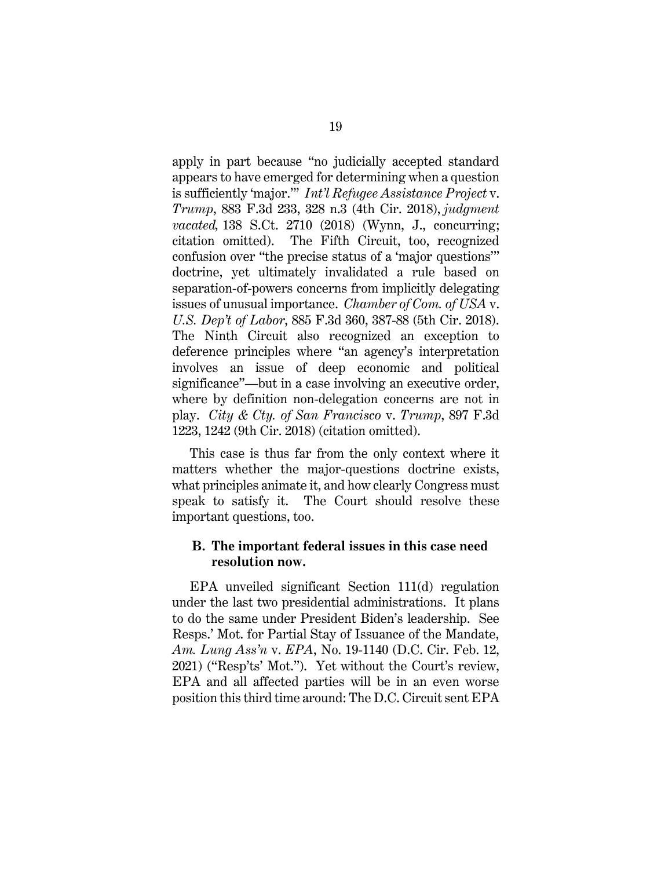<span id="page-31-2"></span><span id="page-31-0"></span>apply in part because "no judicially accepted standard appears to have emerged for determining when a question is sufficiently 'major.'" *Int'l Refugee Assistance Project* v. *Trump*, 883 F.3d 233, 328 n.3 (4th Cir. 2018), *judgment vacated,* 138 S.Ct. 2710 (2018) (Wynn, J., concurring; citation omitted). The Fifth Circuit, too, recognized confusion over "the precise status of a 'major questions'" doctrine, yet ultimately invalidated a rule based on separation-of-powers concerns from implicitly delegating issues of unusual importance. *Chamber of Com. of USA* v. *U.S. Dep't of Labor*, 885 F.3d 360, 387-88 (5th Cir. 2018). The Ninth Circuit also recognized an exception to deference principles where "an agency's interpretation involves an issue of deep economic and political significance"—but in a case involving an executive order, where by definition non-delegation concerns are not in play. *City & Cty. of San Francisco* v. *Trump*, 897 F.3d 1223, 1242 (9th Cir. 2018) (citation omitted).

<span id="page-31-1"></span>This case is thus far from the only context where it matters whether the major-questions doctrine exists, what principles animate it, and how clearly Congress must speak to satisfy it. The Court should resolve these important questions, too.

### **B. The important federal issues in this case need resolution now.**

EPA unveiled significant Section 111(d) regulation under the last two presidential administrations. It plans to do the same under President Biden's leadership. See Resps.' Mot. for Partial Stay of Issuance of the Mandate, *Am. Lung Ass'n* v. *EPA*, No. 19-1140 (D.C. Cir. Feb. 12, 2021) ("Resp'ts' Mot."). Yet without the Court's review, EPA and all affected parties will be in an even worse position this third time around: The D.C. Circuit sent EPA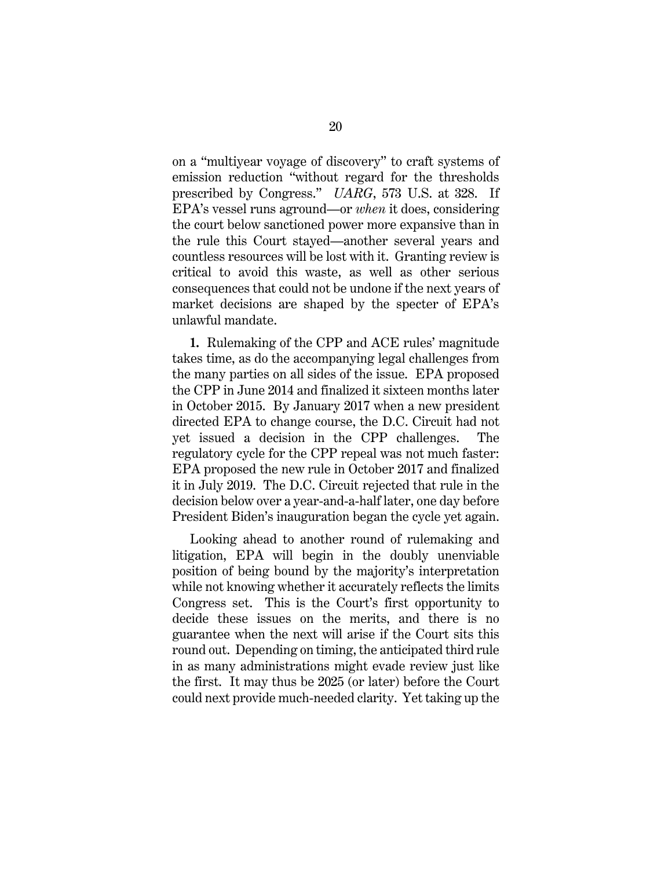<span id="page-32-0"></span>on a "multiyear voyage of discovery" to craft systems of emission reduction "without regard for the thresholds prescribed by Congress." *UARG*, 573 U.S. at 328. If EPA's vessel runs aground—or *when* it does, considering the court below sanctioned power more expansive than in the rule this Court stayed—another several years and countless resources will be lost with it. Granting review is critical to avoid this waste, as well as other serious consequences that could not be undone if the next years of market decisions are shaped by the specter of EPA's unlawful mandate.

**1.** Rulemaking of the CPP and ACE rules' magnitude takes time, as do the accompanying legal challenges from the many parties on all sides of the issue. EPA proposed the CPP in June 2014 and finalized it sixteen months later in October 2015. By January 2017 when a new president directed EPA to change course, the D.C. Circuit had not yet issued a decision in the CPP challenges. The regulatory cycle for the CPP repeal was not much faster: EPA proposed the new rule in October 2017 and finalized it in July 2019. The D.C. Circuit rejected that rule in the decision below over a year-and-a-half later, one day before President Biden's inauguration began the cycle yet again.

Looking ahead to another round of rulemaking and litigation, EPA will begin in the doubly unenviable position of being bound by the majority's interpretation while not knowing whether it accurately reflects the limits Congress set. This is the Court's first opportunity to decide these issues on the merits, and there is no guarantee when the next will arise if the Court sits this round out. Depending on timing, the anticipated third rule in as many administrations might evade review just like the first. It may thus be 2025 (or later) before the Court could next provide much-needed clarity. Yet taking up the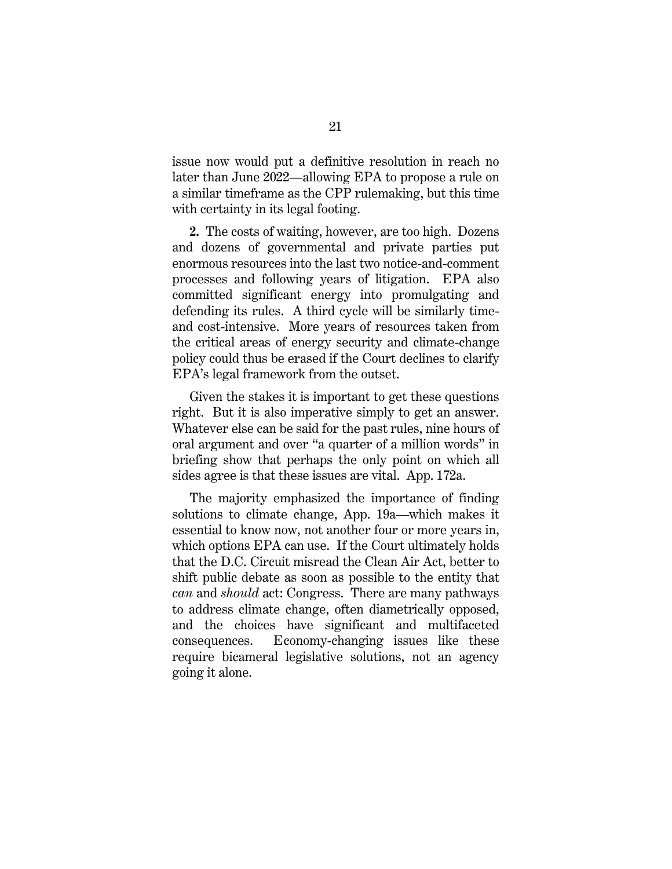issue now would put a definitive resolution in reach no later than June 2022—allowing EPA to propose a rule on a similar timeframe as the CPP rulemaking, but this time with certainty in its legal footing.

**2.** The costs of waiting, however, are too high. Dozens and dozens of governmental and private parties put enormous resources into the last two notice-and-comment processes and following years of litigation. EPA also committed significant energy into promulgating and defending its rules. A third cycle will be similarly timeand cost-intensive. More years of resources taken from the critical areas of energy security and climate-change policy could thus be erased if the Court declines to clarify EPA's legal framework from the outset.

Given the stakes it is important to get these questions right. But it is also imperative simply to get an answer. Whatever else can be said for the past rules, nine hours of oral argument and over "a quarter of a million words" in briefing show that perhaps the only point on which all sides agree is that these issues are vital. App. 172a.

The majority emphasized the importance of finding solutions to climate change, App. 19a—which makes it essential to know now, not another four or more years in, which options EPA can use. If the Court ultimately holds that the D.C. Circuit misread the Clean Air Act, better to shift public debate as soon as possible to the entity that *can* and *should* act: Congress. There are many pathways to address climate change, often diametrically opposed, and the choices have significant and multifaceted consequences. Economy-changing issues like these require bicameral legislative solutions, not an agency going it alone.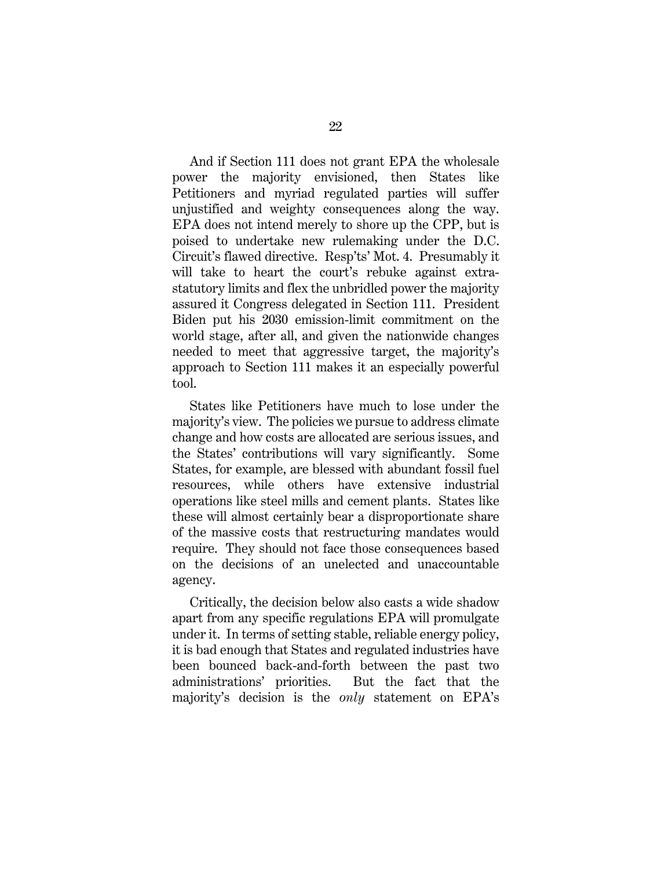And if Section 111 does not grant EPA the wholesale power the majority envisioned, then States like Petitioners and myriad regulated parties will suffer unjustified and weighty consequences along the way. EPA does not intend merely to shore up the CPP, but is poised to undertake new rulemaking under the D.C. Circuit's flawed directive. Resp'ts' Mot. 4. Presumably it will take to heart the court's rebuke against extrastatutory limits and flex the unbridled power the majority assured it Congress delegated in Section 111. President Biden put his 2030 emission-limit commitment on the world stage, after all, and given the nationwide changes needed to meet that aggressive target, the majority's approach to Section 111 makes it an especially powerful tool.

States like Petitioners have much to lose under the majority's view. The policies we pursue to address climate change and how costs are allocated are serious issues, and the States' contributions will vary significantly. Some States, for example, are blessed with abundant fossil fuel resources, while others have extensive industrial operations like steel mills and cement plants. States like these will almost certainly bear a disproportionate share of the massive costs that restructuring mandates would require. They should not face those consequences based on the decisions of an unelected and unaccountable agency.

Critically, the decision below also casts a wide shadow apart from any specific regulations EPA will promulgate under it. In terms of setting stable, reliable energy policy, it is bad enough that States and regulated industries have been bounced back-and-forth between the past two administrations' priorities. But the fact that the majority's decision is the *only* statement on EPA's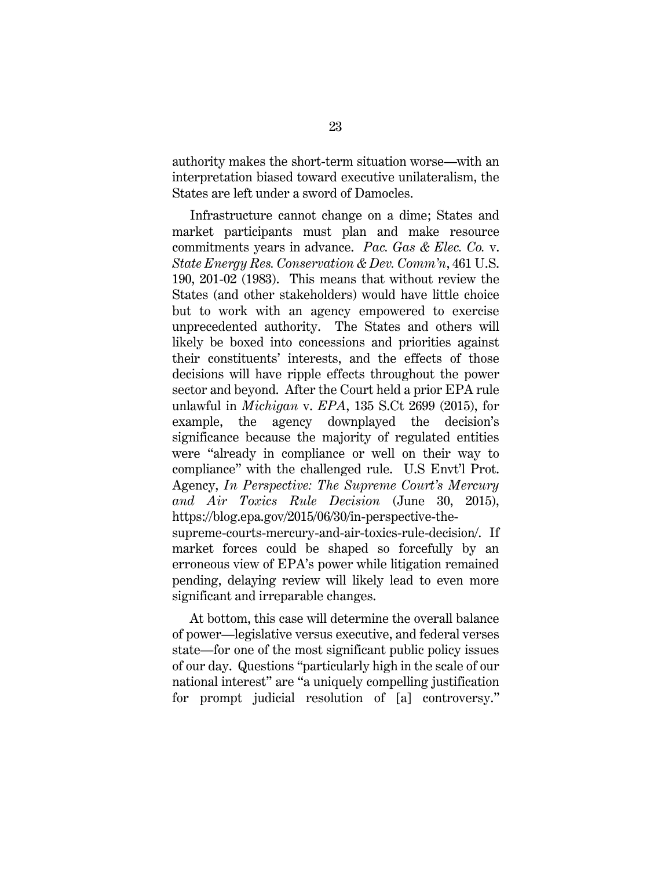authority makes the short-term situation worse—with an interpretation biased toward executive unilateralism, the States are left under a sword of Damocles.

<span id="page-35-0"></span>Infrastructure cannot change on a dime; States and market participants must plan and make resource commitments years in advance. *Pac. Gas & Elec. Co.* v. *State Energy Res. Conservation & Dev. Comm'n*, 461 U.S. 190, 201-02 (1983). This means that without review the States (and other stakeholders) would have little choice but to work with an agency empowered to exercise unprecedented authority. The States and others will likely be boxed into concessions and priorities against their constituents' interests, and the effects of those decisions will have ripple effects throughout the power sector and beyond. After the Court held a prior EPA rule unlawful in *Michigan* v. *EPA*, 135 S.Ct 2699 (2015), for example, the agency downplayed the decision's significance because the majority of regulated entities were "already in compliance or well on their way to compliance" with the challenged rule. U.S Envt'l Prot. Agency, *In Perspective: The Supreme Court's Mercury and Air Toxics Rule Decision* (June 30, 2015), https://blog.epa.gov/2015/06/30/in-perspective-thesupreme-courts-mercury-and-air-toxics-rule-decision/. If market forces could be shaped so forcefully by an erroneous view of EPA's power while litigation remained pending, delaying review will likely lead to even more significant and irreparable changes.

At bottom, this case will determine the overall balance of power—legislative versus executive, and federal verses state—for one of the most significant public policy issues of our day. Questions "particularly high in the scale of our national interest" are "a uniquely compelling justification for prompt judicial resolution of [a] controversy."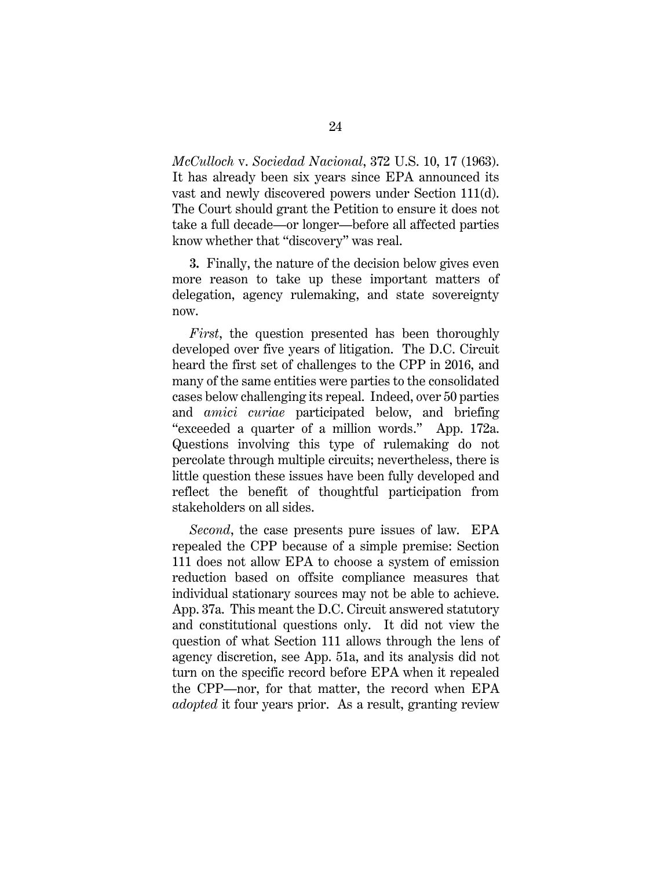<span id="page-36-0"></span>*McCulloch* v. *Sociedad Nacional*, 372 U.S. 10, 17 (1963). It has already been six years since EPA announced its vast and newly discovered powers under Section 111(d). The Court should grant the Petition to ensure it does not take a full decade—or longer—before all affected parties know whether that "discovery" was real.

**3.** Finally, the nature of the decision below gives even more reason to take up these important matters of delegation, agency rulemaking, and state sovereignty now.

*First*, the question presented has been thoroughly developed over five years of litigation. The D.C. Circuit heard the first set of challenges to the CPP in 2016, and many of the same entities were parties to the consolidated cases below challenging its repeal. Indeed, over 50 parties and *amici curiae* participated below, and briefing "exceeded a quarter of a million words." App. 172a. Questions involving this type of rulemaking do not percolate through multiple circuits; nevertheless, there is little question these issues have been fully developed and reflect the benefit of thoughtful participation from stakeholders on all sides.

*Second*, the case presents pure issues of law. EPA repealed the CPP because of a simple premise: Section 111 does not allow EPA to choose a system of emission reduction based on offsite compliance measures that individual stationary sources may not be able to achieve. App. 37a. This meant the D.C. Circuit answered statutory and constitutional questions only. It did not view the question of what Section 111 allows through the lens of agency discretion, see App. 51a, and its analysis did not turn on the specific record before EPA when it repealed the CPP—nor, for that matter, the record when EPA *adopted* it four years prior. As a result, granting review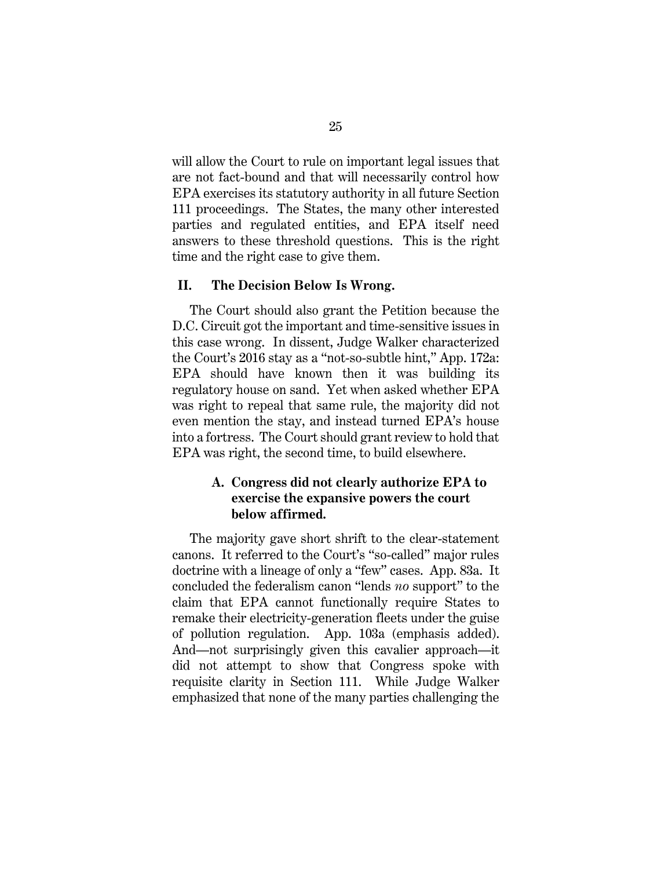will allow the Court to rule on important legal issues that are not fact-bound and that will necessarily control how EPA exercises its statutory authority in all future Section 111 proceedings. The States, the many other interested parties and regulated entities, and EPA itself need answers to these threshold questions. This is the right time and the right case to give them.

### **II. The Decision Below Is Wrong.**

The Court should also grant the Petition because the D.C. Circuit got the important and time-sensitive issues in this case wrong. In dissent, Judge Walker characterized the Court's 2016 stay as a "not-so-subtle hint," App. 172a: EPA should have known then it was building its regulatory house on sand. Yet when asked whether EPA was right to repeal that same rule, the majority did not even mention the stay, and instead turned EPA's house into a fortress. The Court should grant review to hold that EPA was right, the second time, to build elsewhere.

## **A. Congress did not clearly authorize EPA to exercise the expansive powers the court below affirmed.**

The majority gave short shrift to the clear-statement canons. It referred to the Court's "so-called" major rules doctrine with a lineage of only a "few" cases. App. 83a. It concluded the federalism canon "lends *no* support" to the claim that EPA cannot functionally require States to remake their electricity-generation fleets under the guise of pollution regulation. App. 103a (emphasis added). And—not surprisingly given this cavalier approach—it did not attempt to show that Congress spoke with requisite clarity in Section 111. While Judge Walker emphasized that none of the many parties challenging the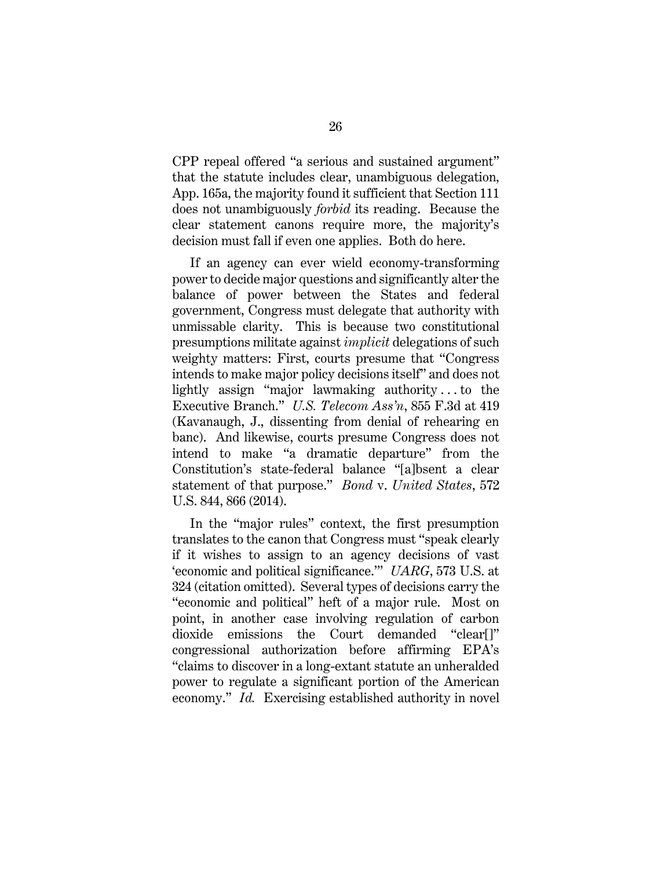CPP repeal offered "a serious and sustained argument" that the statute includes clear, unambiguous delegation, App. 165a, the majority found it sufficient that Section 111 does not unambiguously *forbid* its reading. Because the clear statement canons require more, the majority's decision must fall if even one applies. Both do here.

If an agency can ever wield economy-transforming power to decide major questions and significantly alter the balance of power between the States and federal government, Congress must delegate that authority with unmissable clarity. This is because two constitutional presumptions militate against *implicit* delegations of such weighty matters: First, courts presume that "Congress intends to make major policy decisions itself" and does not lightly assign "major lawmaking authority . . . to the Executive Branch." *U.S. Telecom Ass'n*, 855 F.3d at 419 (Kavanaugh, J., dissenting from denial of rehearing en banc). And likewise, courts presume Congress does not intend to make "a dramatic departure" from the Constitution's state-federal balance "[a]bsent a clear statement of that purpose." *Bond* v. *United States*, 572 U.S. 844, 866 (2014).

<span id="page-38-2"></span><span id="page-38-1"></span><span id="page-38-0"></span>In the "major rules" context, the first presumption translates to the canon that Congress must "speak clearly if it wishes to assign to an agency decisions of vast 'economic and political significance.'" *UARG*, 573 U.S. at 324 (citation omitted). Several types of decisions carry the "economic and political" heft of a major rule. Most on point, in another case involving regulation of carbon dioxide emissions the Court demanded "clear[]" congressional authorization before affirming EPA's "claims to discover in a long-extant statute an unheralded power to regulate a significant portion of the American economy." *Id.* Exercising established authority in novel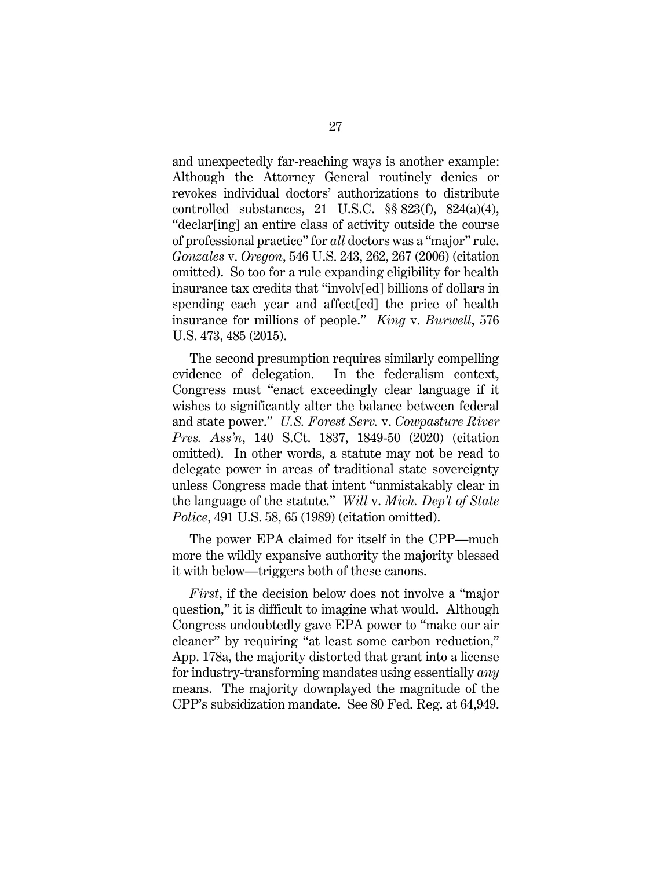<span id="page-39-4"></span><span id="page-39-0"></span>and unexpectedly far-reaching ways is another example: Although the Attorney General routinely denies or revokes individual doctors' authorizations to distribute controlled substances, 21 U.S.C. §§ 823(f), 824(a)(4), "declar[ing] an entire class of activity outside the course of professional practice" for *all* doctors was a "major" rule. *Gonzales* v. *Oregon*, 546 U.S. 243, 262, 267 (2006) (citation omitted). So too for a rule expanding eligibility for health insurance tax credits that "involv[ed] billions of dollars in spending each year and affect[ed] the price of health insurance for millions of people." *King* v. *Burwell*, 576 U.S. 473, 485 (2015).

<span id="page-39-2"></span><span id="page-39-1"></span>The second presumption requires similarly compelling evidence of delegation. In the federalism context, Congress must "enact exceedingly clear language if it wishes to significantly alter the balance between federal and state power." *U.S. Forest Serv.* v. *Cowpasture River Pres. Ass'n*, 140 S.Ct. 1837, 1849-50 (2020) (citation omitted). In other words, a statute may not be read to delegate power in areas of traditional state sovereignty unless Congress made that intent "unmistakably clear in the language of the statute." *Will* v. *Mich. Dep't of State Police*, 491 U.S. 58, 65 (1989) (citation omitted).

<span id="page-39-3"></span>The power EPA claimed for itself in the CPP—much more the wildly expansive authority the majority blessed it with below—triggers both of these canons.

<span id="page-39-5"></span>*First*, if the decision below does not involve a "major question," it is difficult to imagine what would. Although Congress undoubtedly gave EPA power to "make our air cleaner" by requiring "at least some carbon reduction," App. 178a, the majority distorted that grant into a license for industry-transforming mandates using essentially *any* means. The majority downplayed the magnitude of the CPP's subsidization mandate. See 80 Fed. Reg. at 64,949.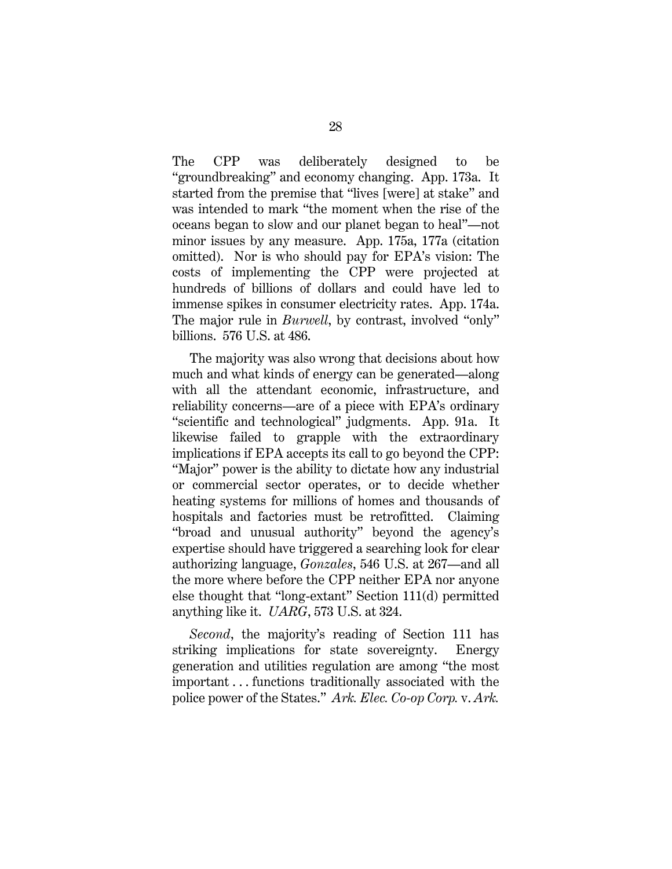The CPP was deliberately designed to be "groundbreaking" and economy changing. App. 173a. It started from the premise that "lives [were] at stake" and was intended to mark "the moment when the rise of the oceans began to slow and our planet began to heal"—not minor issues by any measure. App. 175a, 177a (citation omitted). Nor is who should pay for EPA's vision: The costs of implementing the CPP were projected at hundreds of billions of dollars and could have led to immense spikes in consumer electricity rates. App. 174a. The major rule in *Burwell*, by contrast, involved "only" billions. 576 U.S. at 486.

<span id="page-40-2"></span>The majority was also wrong that decisions about how much and what kinds of energy can be generated—along with all the attendant economic, infrastructure, and reliability concerns—are of a piece with EPA's ordinary "scientific and technological" judgments. App. 91a. It likewise failed to grapple with the extraordinary implications if EPA accepts its call to go beyond the CPP: "Major" power is the ability to dictate how any industrial or commercial sector operates, or to decide whether heating systems for millions of homes and thousands of hospitals and factories must be retrofitted. Claiming "broad and unusual authority" beyond the agency's expertise should have triggered a searching look for clear authorizing language, *Gonzales*, 546 U.S. at 267—and all the more where before the CPP neither EPA nor anyone else thought that "long-extant" Section 111(d) permitted anything like it. *UARG*, 573 U.S. at 324.

<span id="page-40-3"></span><span id="page-40-1"></span><span id="page-40-0"></span>*Second*, the majority's reading of Section 111 has striking implications for state sovereignty. Energy generation and utilities regulation are among "the most important . . . functions traditionally associated with the police power of the States." *Ark. Elec. Co-op Corp.* v. *Ark.*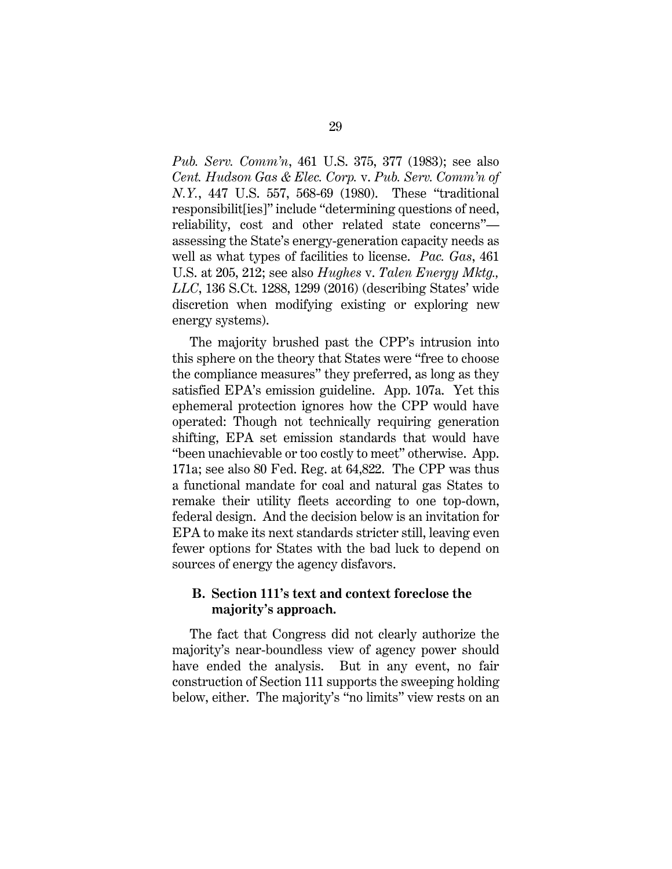<span id="page-41-0"></span>*Pub. Serv. Comm'n*, 461 U.S. 375, 377 (1983); see also *Cent. Hudson Gas & Elec. Corp.* v. *Pub. Serv. Comm'n of N.Y.*, 447 U.S. 557, 568-69 (1980). These "traditional responsibilit[ies]" include "determining questions of need, reliability, cost and other related state concerns" assessing the State's energy-generation capacity needs as well as what types of facilities to license. *Pac. Gas*, 461 U.S. at 205, 212; see also *Hughes* v. *Talen Energy Mktg., LLC*, 136 S.Ct. 1288, 1299 (2016) (describing States' wide discretion when modifying existing or exploring new energy systems).

<span id="page-41-2"></span><span id="page-41-1"></span>The majority brushed past the CPP's intrusion into this sphere on the theory that States were "free to choose the compliance measures" they preferred, as long as they satisfied EPA's emission guideline. App. 107a. Yet this ephemeral protection ignores how the CPP would have operated: Though not technically requiring generation shifting, EPA set emission standards that would have "been unachievable or too costly to meet" otherwise. App. 171a; see also 80 Fed. Reg. at 64,822. The CPP was thus a functional mandate for coal and natural gas States to remake their utility fleets according to one top-down, federal design. And the decision below is an invitation for EPA to make its next standards stricter still, leaving even fewer options for States with the bad luck to depend on sources of energy the agency disfavors.

### <span id="page-41-3"></span>**B. Section 111's text and context foreclose the majority's approach.**

The fact that Congress did not clearly authorize the majority's near-boundless view of agency power should have ended the analysis. But in any event, no fair construction of Section 111 supports the sweeping holding below, either. The majority's "no limits" view rests on an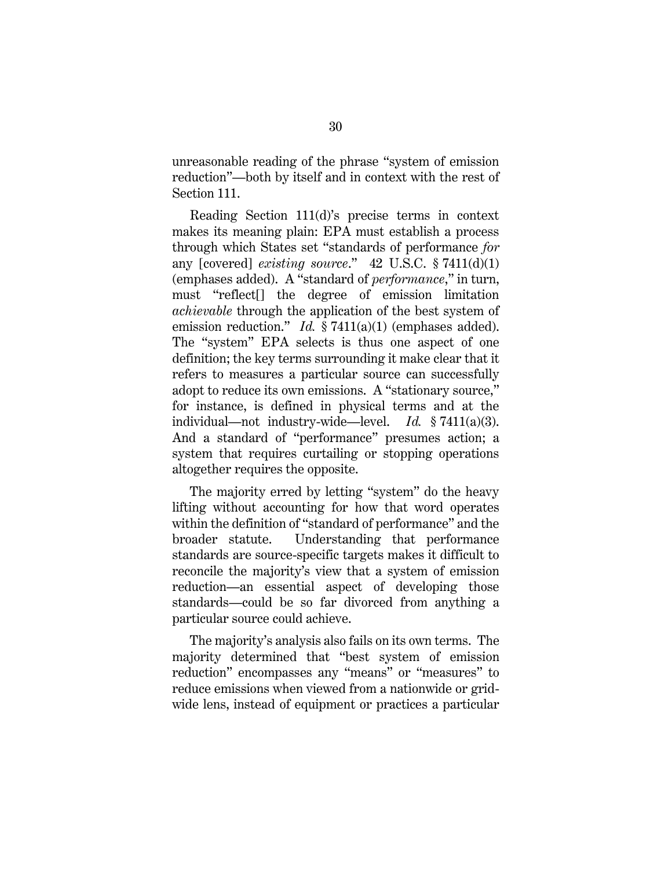unreasonable reading of the phrase "system of emission reduction"—both by itself and in context with the rest of Section 111.

<span id="page-42-1"></span><span id="page-42-0"></span>Reading Section 111(d)'s precise terms in context makes its meaning plain: EPA must establish a process through which States set "standards of performance *for*  any [covered] *existing source*." 42 U.S.C. § 7411(d)(1) (emphases added). A "standard of *performance*," in turn, must "reflect[] the degree of emission limitation *achievable* through the application of the best system of emission reduction." *Id.* § 7411(a)(1) (emphases added). The "system" EPA selects is thus one aspect of one definition; the key terms surrounding it make clear that it refers to measures a particular source can successfully adopt to reduce its own emissions. A "stationary source," for instance, is defined in physical terms and at the individual—not industry-wide—level. *Id.* § 7411(a)(3). And a standard of "performance" presumes action; a system that requires curtailing or stopping operations altogether requires the opposite.

The majority erred by letting "system" do the heavy lifting without accounting for how that word operates within the definition of "standard of performance" and the broader statute. Understanding that performance standards are source-specific targets makes it difficult to reconcile the majority's view that a system of emission reduction—an essential aspect of developing those standards—could be so far divorced from anything a particular source could achieve.

The majority's analysis also fails on its own terms. The majority determined that "best system of emission reduction" encompasses any "means" or "measures" to reduce emissions when viewed from a nationwide or gridwide lens, instead of equipment or practices a particular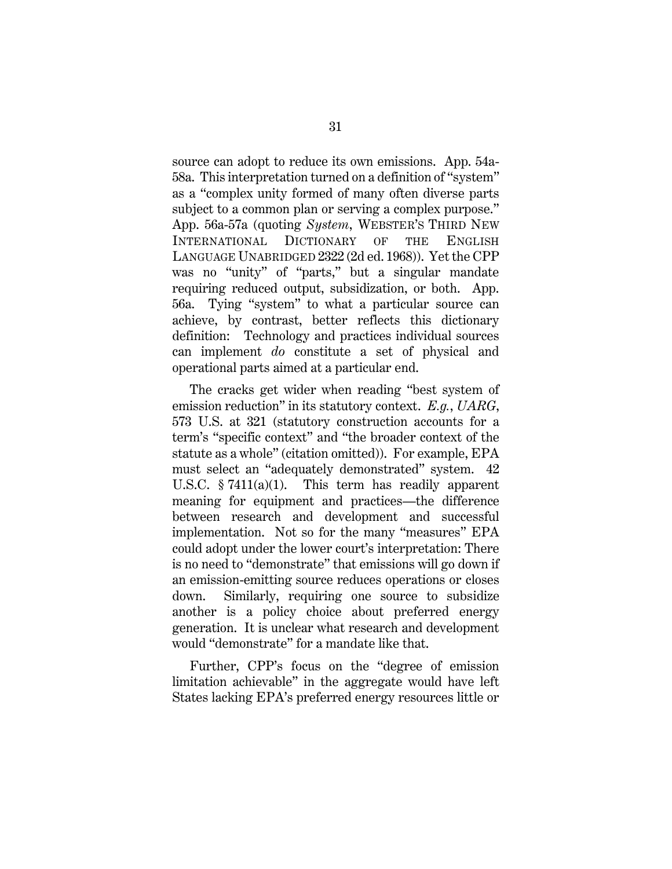<span id="page-43-2"></span>source can adopt to reduce its own emissions. App. 54a-58a. This interpretation turned on a definition of "system" as a "complex unity formed of many often diverse parts subject to a common plan or serving a complex purpose." App. 56a-57a (quoting *System*, WEBSTER'S THIRD NEW INTERNATIONAL DICTIONARY OF THE ENGLISH LANGUAGE UNABRIDGED 2322 (2d ed. 1968)). Yet the CPP was no "unity" of "parts," but a singular mandate requiring reduced output, subsidization, or both. App. 56a. Tying "system" to what a particular source can achieve, by contrast, better reflects this dictionary definition: Technology and practices individual sources can implement *do* constitute a set of physical and operational parts aimed at a particular end.

<span id="page-43-1"></span><span id="page-43-0"></span>The cracks get wider when reading "best system of emission reduction" in its statutory context. *E.g.*, *UARG*, 573 U.S. at 321 (statutory construction accounts for a term's "specific context" and "the broader context of the statute as a whole" (citation omitted)). For example, EPA must select an "adequately demonstrated" system. 42 U.S.C. § 7411(a)(1). This term has readily apparent meaning for equipment and practices—the difference between research and development and successful implementation. Not so for the many "measures" EPA could adopt under the lower court's interpretation: There is no need to "demonstrate" that emissions will go down if an emission-emitting source reduces operations or closes down. Similarly, requiring one source to subsidize another is a policy choice about preferred energy generation. It is unclear what research and development would "demonstrate" for a mandate like that.

Further, CPP's focus on the "degree of emission limitation achievable" in the aggregate would have left States lacking EPA's preferred energy resources little or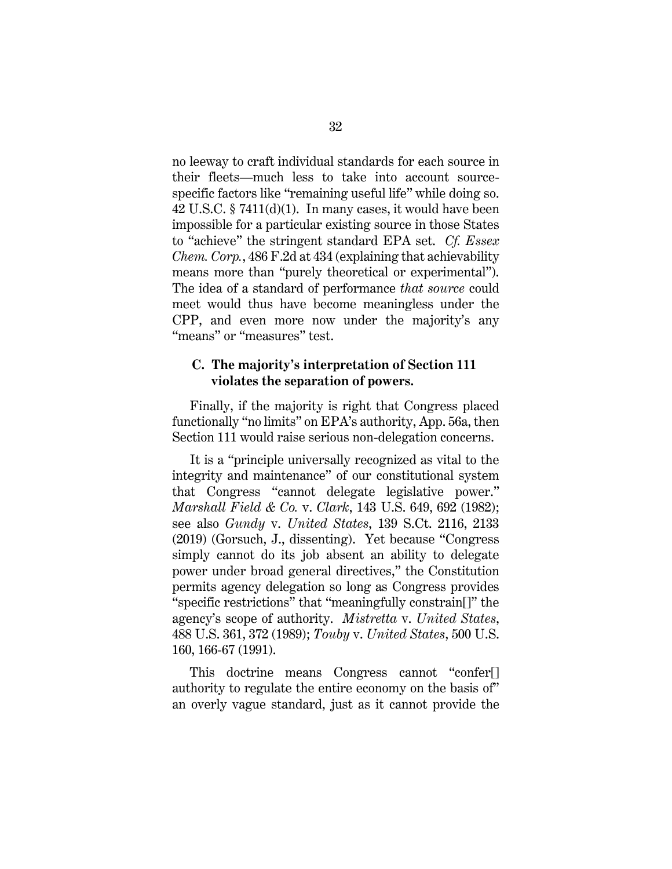no leeway to craft individual standards for each source in their fleets—much less to take into account sourcespecific factors like "remaining useful life" while doing so. 42 U.S.C. § 7411(d)(1). In many cases, it would have been impossible for a particular existing source in those States to "achieve" the stringent standard EPA set. *Cf. Essex Chem. Corp.*, 486 F.2d at 434 (explaining that achievability means more than "purely theoretical or experimental"). The idea of a standard of performance *that source* could meet would thus have become meaningless under the CPP, and even more now under the majority's any "means" or "measures" test.

### <span id="page-44-0"></span>**C. The majority's interpretation of Section 111 violates the separation of powers.**

Finally, if the majority is right that Congress placed functionally "no limits" on EPA's authority, App. 56a, then Section 111 would raise serious non-delegation concerns.

<span id="page-44-2"></span><span id="page-44-1"></span>It is a "principle universally recognized as vital to the integrity and maintenance" of our constitutional system that Congress "cannot delegate legislative power." *Marshall Field & Co.* v. *Clark*, 143 U.S. 649, 692 (1982); see also *Gundy* v. *United States*, 139 S.Ct. 2116, 2133 (2019) (Gorsuch, J., dissenting). Yet because "Congress simply cannot do its job absent an ability to delegate power under broad general directives," the Constitution permits agency delegation so long as Congress provides "specific restrictions" that "meaningfully constrain[]" the agency's scope of authority. *Mistretta* v. *United States*, 488 U.S. 361, 372 (1989); *Touby* v. *United States*, 500 U.S. 160, 166-67 (1991).

<span id="page-44-4"></span><span id="page-44-3"></span>This doctrine means Congress cannot "confer[] authority to regulate the entire economy on the basis of" an overly vague standard, just as it cannot provide the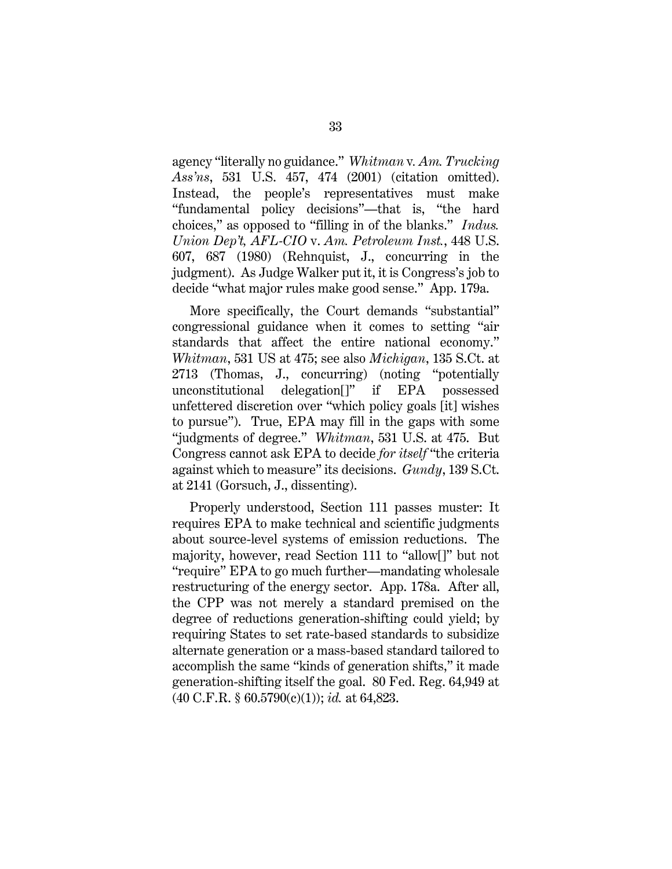<span id="page-45-1"></span>agency "literally no guidance." *Whitman* v*. Am. Trucking Ass'ns*, 531 U.S. 457, 474 (2001) (citation omitted). Instead, the people's representatives must make "fundamental policy decisions"—that is, "the hard choices," as opposed to "filling in of the blanks." *Indus. Union Dep't, AFL-CIO* v. *Am. Petroleum Inst.*, 448 U.S. 607, 687 (1980) (Rehnquist, J., concurring in the judgment). As Judge Walker put it, it is Congress's job to decide "what major rules make good sense." App. 179a.

<span id="page-45-3"></span><span id="page-45-2"></span>More specifically, the Court demands "substantial" congressional guidance when it comes to setting "air standards that affect the entire national economy." *Whitman*, 531 US at 475; see also *Michigan*, 135 S.Ct. at 2713 (Thomas, J., concurring) (noting "potentially unconstitutional delegation[]" if EPA possessed unfettered discretion over "which policy goals [it] wishes to pursue"). True, EPA may fill in the gaps with some "judgments of degree." *Whitman*, 531 U.S. at 475. But Congress cannot ask EPA to decide *for itself* "the criteria against which to measure" its decisions. *Gundy*, 139 S.Ct. at 2141 (Gorsuch, J., dissenting).

<span id="page-45-4"></span><span id="page-45-0"></span>Properly understood, Section 111 passes muster: It requires EPA to make technical and scientific judgments about source-level systems of emission reductions. The majority, however, read Section 111 to "allow[]" but not "require" EPA to go much further—mandating wholesale restructuring of the energy sector. App. 178a. After all, the CPP was not merely a standard premised on the degree of reductions generation-shifting could yield; by requiring States to set rate-based standards to subsidize alternate generation or a mass-based standard tailored to accomplish the same "kinds of generation shifts," it made generation-shifting itself the goal. 80 Fed. Reg. 64,949 at (40 C.F.R. § 60.5790(c)(1)); *id.* at 64,823.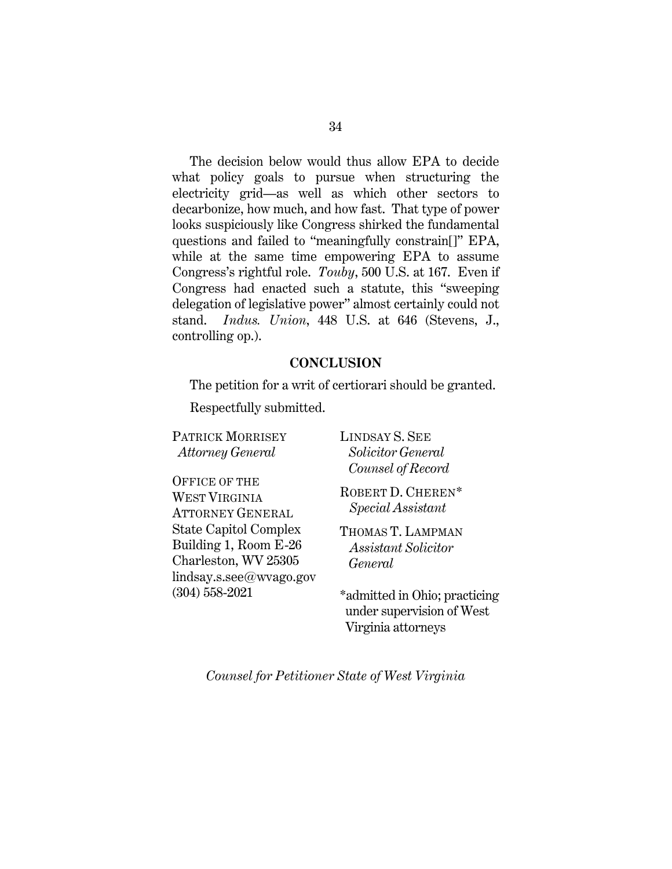The decision below would thus allow EPA to decide what policy goals to pursue when structuring the electricity grid—as well as which other sectors to decarbonize, how much, and how fast. That type of power looks suspiciously like Congress shirked the fundamental questions and failed to "meaningfully constrain[]" EPA, while at the same time empowering EPA to assume Congress's rightful role. *Touby*, 500 U.S. at 167. Even if Congress had enacted such a statute, this "sweeping delegation of legislative power" almost certainly could not stand. *Indus. Union*, 448 U.S. at 646 (Stevens, J., controlling op.).

### <span id="page-46-1"></span><span id="page-46-0"></span>**CONCLUSION**

The petition for a writ of certiorari should be granted.

Respectfully submitted.

PATRICK MORRISEY *Attorney General* OFFICE OF THE WEST VIRGINIA ATTORNEY GENERAL State Capitol Complex Building 1, Room E-26 Charleston, WV 25305 lindsay.s.see@wvago.gov (304) 558-2021

LINDSAY S. SEE  *Solicitor General Counsel of Record*

ROBERT D. CHEREN\* *Special Assistant*

THOMAS T. LAMPMAN *Assistant Solicitor General*

\*admitted in Ohio; practicing under supervision of West Virginia attorneys

*Counsel for Petitioner State of West Virginia*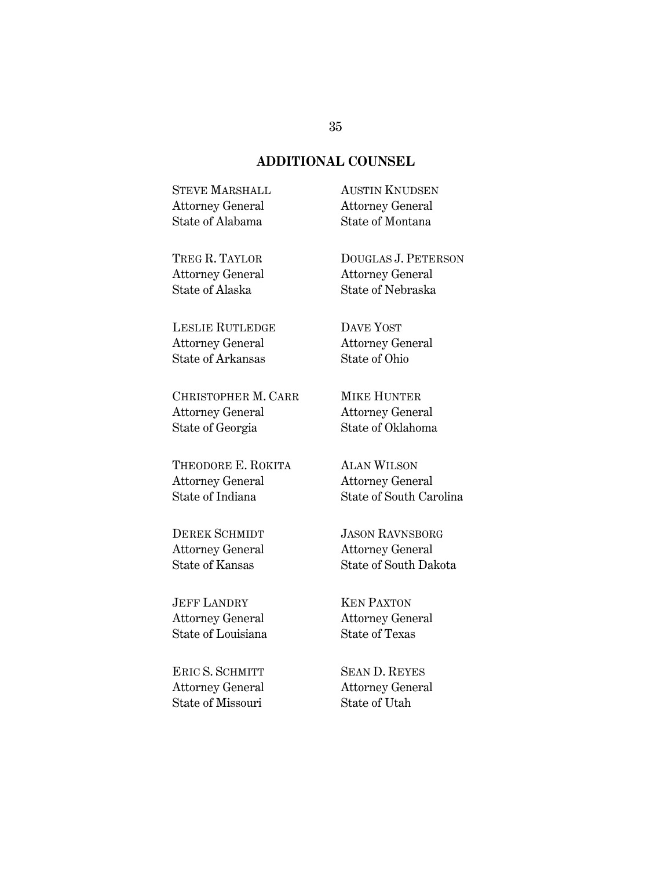#### **ADDITIONAL COUNSEL**

STEVE MARSHALL Attorney General State of Alabama

AUSTIN KNUDSEN Attorney General State of Montana

TREG R. TAYLOR Attorney General State of Alaska

LESLIE RUTLEDGE Attorney General State of Arkansas

CHRISTOPHER M. CARR Attorney General State of Georgia

THEODORE E. ROKITA Attorney General State of Indiana

DEREK SCHMIDT Attorney General State of Kansas

JEFF LANDRY Attorney General State of Louisiana

ERIC S. SCHMITT Attorney General State of Missouri

DOUGLAS J. PETERSON Attorney General State of Nebraska

DAVE YOST Attorney General State of Ohio

MIKE HUNTER Attorney General State of Oklahoma

ALAN WILSON Attorney General State of South Carolina

JASON RAVNSBORG Attorney General State of South Dakota

KEN PAXTON Attorney General State of Texas

SEAN D. REYES Attorney General State of Utah

#### 35